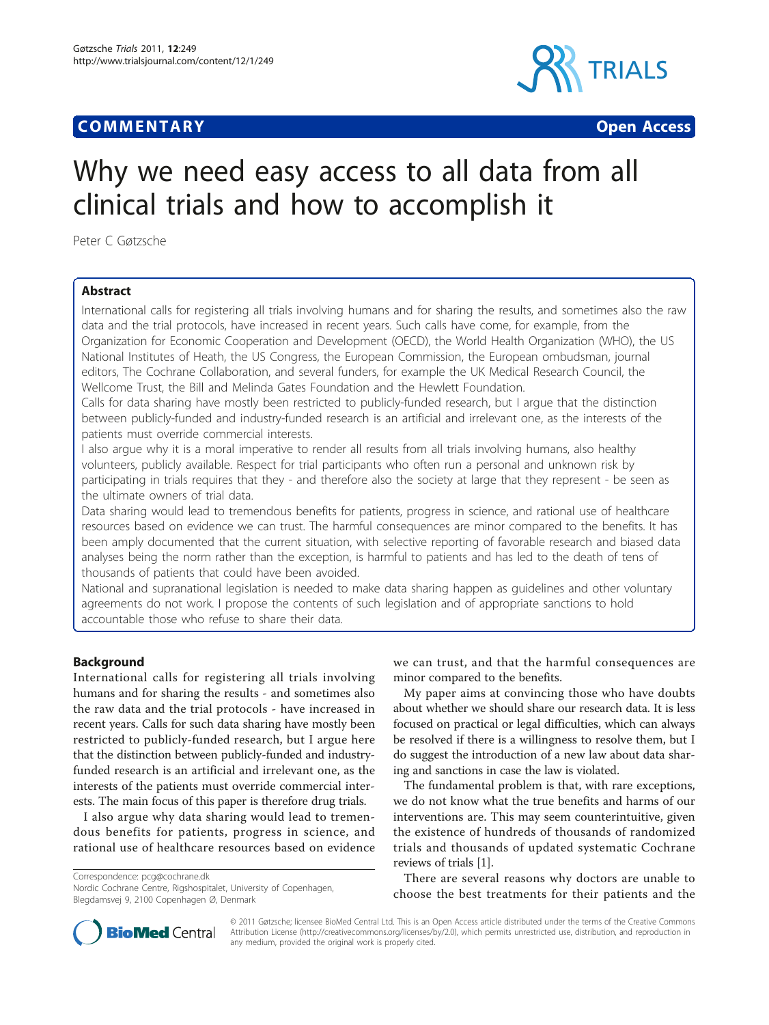## **COMMENTARY COMMENTARY Open Access**



# Why we need easy access to all data from all clinical trials and how to accomplish it

Peter C Gøtzsche

### Abstract

International calls for registering all trials involving humans and for sharing the results, and sometimes also the raw data and the trial protocols, have increased in recent years. Such calls have come, for example, from the Organization for Economic Cooperation and Development (OECD), the World Health Organization (WHO), the US National Institutes of Heath, the US Congress, the European Commission, the European ombudsman, journal editors, The Cochrane Collaboration, and several funders, for example the UK Medical Research Council, the Wellcome Trust, the Bill and Melinda Gates Foundation and the Hewlett Foundation.

Calls for data sharing have mostly been restricted to publicly-funded research, but I argue that the distinction between publicly-funded and industry-funded research is an artificial and irrelevant one, as the interests of the patients must override commercial interests.

I also argue why it is a moral imperative to render all results from all trials involving humans, also healthy volunteers, publicly available. Respect for trial participants who often run a personal and unknown risk by participating in trials requires that they - and therefore also the society at large that they represent - be seen as the ultimate owners of trial data.

Data sharing would lead to tremendous benefits for patients, progress in science, and rational use of healthcare resources based on evidence we can trust. The harmful consequences are minor compared to the benefits. It has been amply documented that the current situation, with selective reporting of favorable research and biased data analyses being the norm rather than the exception, is harmful to patients and has led to the death of tens of thousands of patients that could have been avoided.

National and supranational legislation is needed to make data sharing happen as guidelines and other voluntary agreements do not work. I propose the contents of such legislation and of appropriate sanctions to hold accountable those who refuse to share their data.

## Background

International calls for registering all trials involving humans and for sharing the results - and sometimes also the raw data and the trial protocols - have increased in recent years. Calls for such data sharing have mostly been restricted to publicly-funded research, but I argue here that the distinction between publicly-funded and industryfunded research is an artificial and irrelevant one, as the interests of the patients must override commercial interests. The main focus of this paper is therefore drug trials.

I also argue why data sharing would lead to tremendous benefits for patients, progress in science, and rational use of healthcare resources based on evidence

Correspondence: [pcg@cochrane.dk](mailto:pcg@cochrane.dk)

Nordic Cochrane Centre, Rigshospitalet, University of Copenhagen, Blegdamsvej 9, 2100 Copenhagen Ø, Denmark

we can trust, and that the harmful consequences are minor compared to the benefits.

My paper aims at convincing those who have doubts about whether we should share our research data. It is less focused on practical or legal difficulties, which can always be resolved if there is a willingness to resolve them, but I do suggest the introduction of a new law about data sharing and sanctions in case the law is violated.

The fundamental problem is that, with rare exceptions, we do not know what the true benefits and harms of our interventions are. This may seem counterintuitive, given the existence of hundreds of thousands of randomized trials and thousands of updated systematic Cochrane reviews of trials [\[1](#page-10-0)].

There are several reasons why doctors are unable to choose the best treatments for their patients and the



© 2011 Gøtzsche; licensee BioMed Central Ltd. This is an Open Access article distributed under the terms of the Creative Commons Attribution License [\(http://creativecommons.org/licenses/by/2.0](http://creativecommons.org/licenses/by/2.0)), which permits unrestricted use, distribution, and reproduction in any medium, provided the original work is properly cited.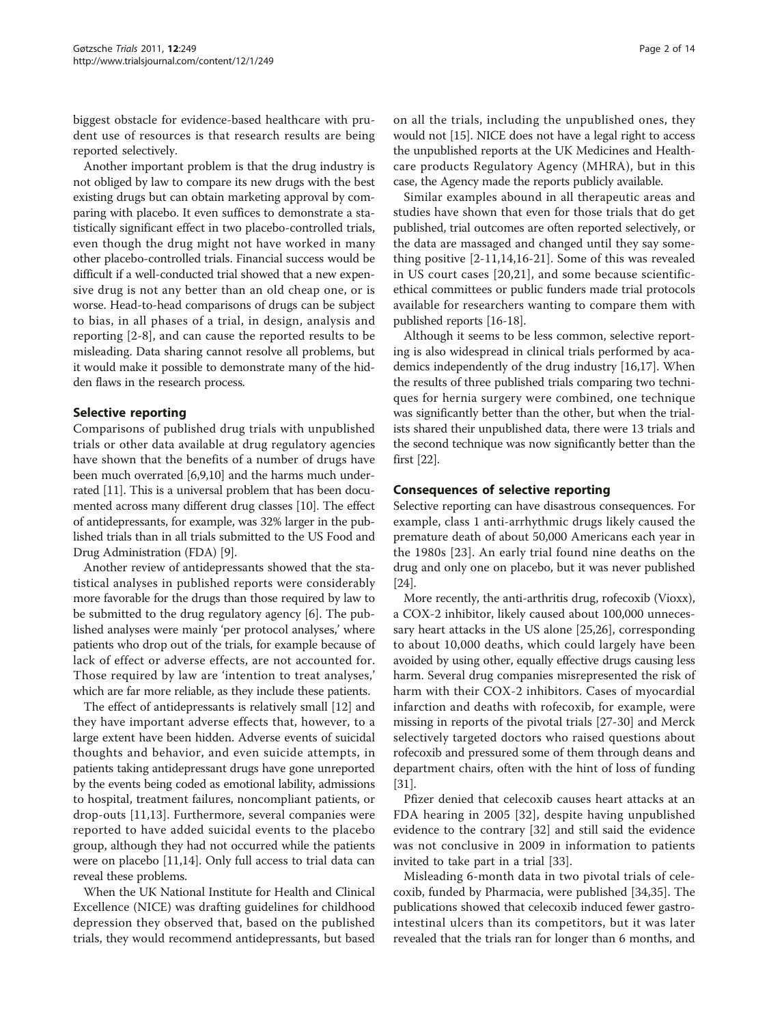biggest obstacle for evidence-based healthcare with prudent use of resources is that research results are being reported selectively.

Another important problem is that the drug industry is not obliged by law to compare its new drugs with the best existing drugs but can obtain marketing approval by comparing with placebo. It even suffices to demonstrate a statistically significant effect in two placebo-controlled trials, even though the drug might not have worked in many other placebo-controlled trials. Financial success would be difficult if a well-conducted trial showed that a new expensive drug is not any better than an old cheap one, or is worse. Head-to-head comparisons of drugs can be subject to bias, in all phases of a trial, in design, analysis and reporting [[2-8](#page-11-0)], and can cause the reported results to be misleading. Data sharing cannot resolve all problems, but it would make it possible to demonstrate many of the hidden flaws in the research process.

#### Selective reporting

Comparisons of published drug trials with unpublished trials or other data available at drug regulatory agencies have shown that the benefits of a number of drugs have been much overrated [[6,9](#page-11-0),[10](#page-11-0)] and the harms much underrated [[11](#page-11-0)]. This is a universal problem that has been documented across many different drug classes [\[10](#page-11-0)]. The effect of antidepressants, for example, was 32% larger in the published trials than in all trials submitted to the US Food and Drug Administration (FDA) [[9](#page-11-0)].

Another review of antidepressants showed that the statistical analyses in published reports were considerably more favorable for the drugs than those required by law to be submitted to the drug regulatory agency [\[6](#page-11-0)]. The published analyses were mainly 'per protocol analyses,' where patients who drop out of the trials, for example because of lack of effect or adverse effects, are not accounted for. Those required by law are 'intention to treat analyses,' which are far more reliable, as they include these patients.

The effect of antidepressants is relatively small [[12\]](#page-11-0) and they have important adverse effects that, however, to a large extent have been hidden. Adverse events of suicidal thoughts and behavior, and even suicide attempts, in patients taking antidepressant drugs have gone unreported by the events being coded as emotional lability, admissions to hospital, treatment failures, noncompliant patients, or drop-outs [[11,13](#page-11-0)]. Furthermore, several companies were reported to have added suicidal events to the placebo group, although they had not occurred while the patients were on placebo [\[11,14\]](#page-11-0). Only full access to trial data can reveal these problems.

When the UK National Institute for Health and Clinical Excellence (NICE) was drafting guidelines for childhood depression they observed that, based on the published trials, they would recommend antidepressants, but based on all the trials, including the unpublished ones, they would not [[15](#page-11-0)]. NICE does not have a legal right to access the unpublished reports at the UK Medicines and Healthcare products Regulatory Agency (MHRA), but in this case, the Agency made the reports publicly available.

Similar examples abound in all therapeutic areas and studies have shown that even for those trials that do get published, trial outcomes are often reported selectively, or the data are massaged and changed until they say something positive [[2-11,14,16-21](#page-11-0)]. Some of this was revealed in US court cases [[20,21](#page-11-0)], and some because scientificethical committees or public funders made trial protocols available for researchers wanting to compare them with published reports [[16](#page-11-0)-[18](#page-11-0)].

Although it seems to be less common, selective reporting is also widespread in clinical trials performed by academics independently of the drug industry [[16,17](#page-11-0)]. When the results of three published trials comparing two techniques for hernia surgery were combined, one technique was significantly better than the other, but when the trialists shared their unpublished data, there were 13 trials and the second technique was now significantly better than the first [\[22\]](#page-11-0).

#### Consequences of selective reporting

Selective reporting can have disastrous consequences. For example, class 1 anti-arrhythmic drugs likely caused the premature death of about 50,000 Americans each year in the 1980s [[23](#page-11-0)]. An early trial found nine deaths on the drug and only one on placebo, but it was never published [[24](#page-11-0)].

More recently, the anti-arthritis drug, rofecoxib (Vioxx), a COX-2 inhibitor, likely caused about 100,000 unnecessary heart attacks in the US alone [\[25,26](#page-11-0)], corresponding to about 10,000 deaths, which could largely have been avoided by using other, equally effective drugs causing less harm. Several drug companies misrepresented the risk of harm with their COX-2 inhibitors. Cases of myocardial infarction and deaths with rofecoxib, for example, were missing in reports of the pivotal trials [[27-30](#page-11-0)] and Merck selectively targeted doctors who raised questions about rofecoxib and pressured some of them through deans and department chairs, often with the hint of loss of funding [[31](#page-11-0)].

Pfizer denied that celecoxib causes heart attacks at an FDA hearing in 2005 [\[32](#page-11-0)], despite having unpublished evidence to the contrary [\[32](#page-11-0)] and still said the evidence was not conclusive in 2009 in information to patients invited to take part in a trial [\[33](#page-11-0)].

Misleading 6-month data in two pivotal trials of celecoxib, funded by Pharmacia, were published [[34,35](#page-11-0)]. The publications showed that celecoxib induced fewer gastrointestinal ulcers than its competitors, but it was later revealed that the trials ran for longer than 6 months, and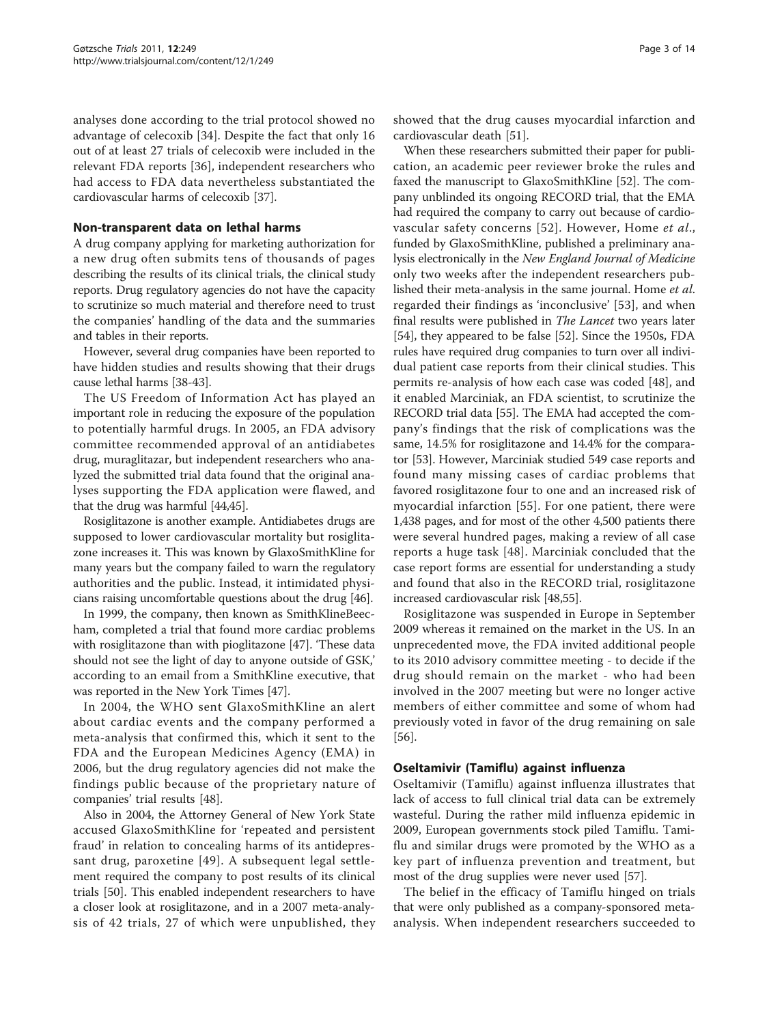analyses done according to the trial protocol showed no advantage of celecoxib [[34](#page-11-0)]. Despite the fact that only 16 out of at least 27 trials of celecoxib were included in the relevant FDA reports [[36\]](#page-11-0), independent researchers who had access to FDA data nevertheless substantiated the cardiovascular harms of celecoxib [[37](#page-11-0)].

#### Non-transparent data on lethal harms

A drug company applying for marketing authorization for a new drug often submits tens of thousands of pages describing the results of its clinical trials, the clinical study reports. Drug regulatory agencies do not have the capacity to scrutinize so much material and therefore need to trust the companies' handling of the data and the summaries and tables in their reports.

However, several drug companies have been reported to have hidden studies and results showing that their drugs cause lethal harms [\[38-43\]](#page-11-0).

The US Freedom of Information Act has played an important role in reducing the exposure of the population to potentially harmful drugs. In 2005, an FDA advisory committee recommended approval of an antidiabetes drug, muraglitazar, but independent researchers who analyzed the submitted trial data found that the original analyses supporting the FDA application were flawed, and that the drug was harmful [\[44,45](#page-11-0)].

Rosiglitazone is another example. Antidiabetes drugs are supposed to lower cardiovascular mortality but rosiglitazone increases it. This was known by GlaxoSmithKline for many years but the company failed to warn the regulatory authorities and the public. Instead, it intimidated physicians raising uncomfortable questions about the drug [\[46\]](#page-11-0).

In 1999, the company, then known as SmithKlineBeecham, completed a trial that found more cardiac problems with rosiglitazone than with pioglitazone [\[47\]](#page-11-0). 'These data should not see the light of day to anyone outside of GSK,' according to an email from a SmithKline executive, that was reported in the New York Times [\[47\]](#page-11-0).

In 2004, the WHO sent GlaxoSmithKline an alert about cardiac events and the company performed a meta-analysis that confirmed this, which it sent to the FDA and the European Medicines Agency (EMA) in 2006, but the drug regulatory agencies did not make the findings public because of the proprietary nature of companies' trial results [[48](#page-11-0)].

Also in 2004, the Attorney General of New York State accused GlaxoSmithKline for 'repeated and persistent fraud' in relation to concealing harms of its antidepressant drug, paroxetine [[49\]](#page-11-0). A subsequent legal settlement required the company to post results of its clinical trials [\[50\]](#page-11-0). This enabled independent researchers to have a closer look at rosiglitazone, and in a 2007 meta-analysis of 42 trials, 27 of which were unpublished, they showed that the drug causes myocardial infarction and cardiovascular death [[51\]](#page-11-0).

When these researchers submitted their paper for publication, an academic peer reviewer broke the rules and faxed the manuscript to GlaxoSmithKline [\[52](#page-11-0)]. The company unblinded its ongoing RECORD trial, that the EMA had required the company to carry out because of cardiovascular safety concerns [[52\]](#page-11-0). However, Home et al., funded by GlaxoSmithKline, published a preliminary analysis electronically in the New England Journal of Medicine only two weeks after the independent researchers published their meta-analysis in the same journal. Home et al. regarded their findings as 'inconclusive' [[53\]](#page-11-0), and when final results were published in The Lancet two years later [[54\]](#page-11-0), they appeared to be false [[52\]](#page-11-0). Since the 1950s, FDA rules have required drug companies to turn over all individual patient case reports from their clinical studies. This permits re-analysis of how each case was coded [\[48](#page-11-0)], and it enabled Marciniak, an FDA scientist, to scrutinize the RECORD trial data [\[55\]](#page-11-0). The EMA had accepted the company's findings that the risk of complications was the same, 14.5% for rosiglitazone and 14.4% for the comparator [\[53\]](#page-11-0). However, Marciniak studied 549 case reports and found many missing cases of cardiac problems that favored rosiglitazone four to one and an increased risk of myocardial infarction [[55](#page-11-0)]. For one patient, there were 1,438 pages, and for most of the other 4,500 patients there were several hundred pages, making a review of all case reports a huge task [[48](#page-11-0)]. Marciniak concluded that the case report forms are essential for understanding a study and found that also in the RECORD trial, rosiglitazone increased cardiovascular risk [\[48,55](#page-11-0)].

Rosiglitazone was suspended in Europe in September 2009 whereas it remained on the market in the US. In an unprecedented move, the FDA invited additional people to its 2010 advisory committee meeting - to decide if the drug should remain on the market - who had been involved in the 2007 meeting but were no longer active members of either committee and some of whom had previously voted in favor of the drug remaining on sale [[56\]](#page-11-0).

#### Oseltamivir (Tamiflu) against influenza

Oseltamivir (Tamiflu) against influenza illustrates that lack of access to full clinical trial data can be extremely wasteful. During the rather mild influenza epidemic in 2009, European governments stock piled Tamiflu. Tamiflu and similar drugs were promoted by the WHO as a key part of influenza prevention and treatment, but most of the drug supplies were never used [\[57](#page-11-0)].

The belief in the efficacy of Tamiflu hinged on trials that were only published as a company-sponsored metaanalysis. When independent researchers succeeded to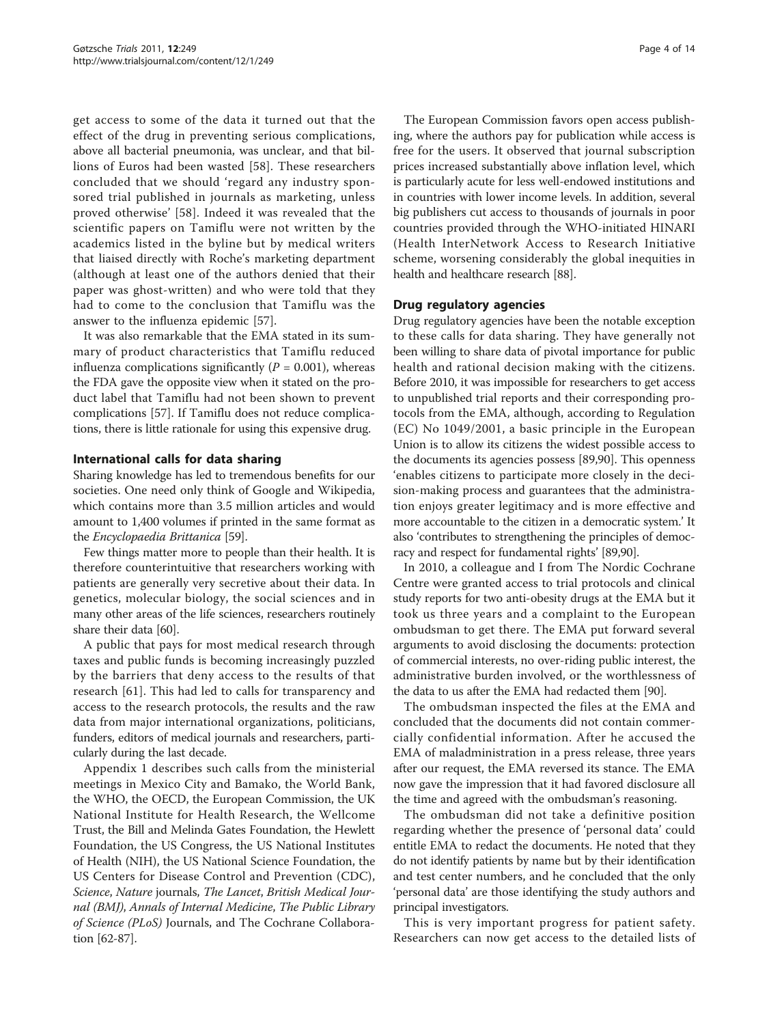get access to some of the data it turned out that the effect of the drug in preventing serious complications, above all bacterial pneumonia, was unclear, and that billions of Euros had been wasted [\[58](#page-11-0)]. These researchers concluded that we should 'regard any industry sponsored trial published in journals as marketing, unless proved otherwise' [[58](#page-11-0)]. Indeed it was revealed that the scientific papers on Tamiflu were not written by the academics listed in the byline but by medical writers that liaised directly with Roche's marketing department (although at least one of the authors denied that their paper was ghost-written) and who were told that they had to come to the conclusion that Tamiflu was the answer to the influenza epidemic [\[57](#page-11-0)].

It was also remarkable that the EMA stated in its summary of product characteristics that Tamiflu reduced influenza complications significantly ( $P = 0.001$ ), whereas the FDA gave the opposite view when it stated on the product label that Tamiflu had not been shown to prevent complications [[57](#page-11-0)]. If Tamiflu does not reduce complications, there is little rationale for using this expensive drug.

#### International calls for data sharing

Sharing knowledge has led to tremendous benefits for our societies. One need only think of Google and Wikipedia, which contains more than 3.5 million articles and would amount to 1,400 volumes if printed in the same format as the Encyclopaedia Brittanica [\[59\]](#page-11-0).

Few things matter more to people than their health. It is therefore counterintuitive that researchers working with patients are generally very secretive about their data. In genetics, molecular biology, the social sciences and in many other areas of the life sciences, researchers routinely share their data [\[60\]](#page-11-0).

A public that pays for most medical research through taxes and public funds is becoming increasingly puzzled by the barriers that deny access to the results of that research [[61\]](#page-12-0). This had led to calls for transparency and access to the research protocols, the results and the raw data from major international organizations, politicians, funders, editors of medical journals and researchers, particularly during the last decade.

Appendix 1 describes such calls from the ministerial meetings in Mexico City and Bamako, the World Bank, the WHO, the OECD, the European Commission, the UK National Institute for Health Research, the Wellcome Trust, the Bill and Melinda Gates Foundation, the Hewlett Foundation, the US Congress, the US National Institutes of Health (NIH), the US National Science Foundation, the US Centers for Disease Control and Prevention (CDC), Science, Nature journals, The Lancet, British Medical Journal (BMJ), Annals of Internal Medicine, The Public Library of Science (PLoS) Journals, and The Cochrane Collaboration [\[62-87\]](#page-12-0).

The European Commission favors open access publishing, where the authors pay for publication while access is free for the users. It observed that journal subscription prices increased substantially above inflation level, which is particularly acute for less well-endowed institutions and in countries with lower income levels. In addition, several big publishers cut access to thousands of journals in poor countries provided through the WHO-initiated HINARI (Health InterNetwork Access to Research Initiative scheme, worsening considerably the global inequities in health and healthcare research [[88](#page-12-0)].

#### Drug regulatory agencies

Drug regulatory agencies have been the notable exception to these calls for data sharing. They have generally not been willing to share data of pivotal importance for public health and rational decision making with the citizens. Before 2010, it was impossible for researchers to get access to unpublished trial reports and their corresponding protocols from the EMA, although, according to Regulation (EC) No 1049/2001, a basic principle in the European Union is to allow its citizens the widest possible access to the documents its agencies possess [\[89,90\]](#page-12-0). This openness 'enables citizens to participate more closely in the decision-making process and guarantees that the administration enjoys greater legitimacy and is more effective and more accountable to the citizen in a democratic system.' It also 'contributes to strengthening the principles of democracy and respect for fundamental rights' [\[89,90](#page-12-0)].

In 2010, a colleague and I from The Nordic Cochrane Centre were granted access to trial protocols and clinical study reports for two anti-obesity drugs at the EMA but it took us three years and a complaint to the European ombudsman to get there. The EMA put forward several arguments to avoid disclosing the documents: protection of commercial interests, no over-riding public interest, the administrative burden involved, or the worthlessness of the data to us after the EMA had redacted them [[90](#page-12-0)].

The ombudsman inspected the files at the EMA and concluded that the documents did not contain commercially confidential information. After he accused the EMA of maladministration in a press release, three years after our request, the EMA reversed its stance. The EMA now gave the impression that it had favored disclosure all the time and agreed with the ombudsman's reasoning.

The ombudsman did not take a definitive position regarding whether the presence of 'personal data' could entitle EMA to redact the documents. He noted that they do not identify patients by name but by their identification and test center numbers, and he concluded that the only 'personal data' are those identifying the study authors and principal investigators.

This is very important progress for patient safety. Researchers can now get access to the detailed lists of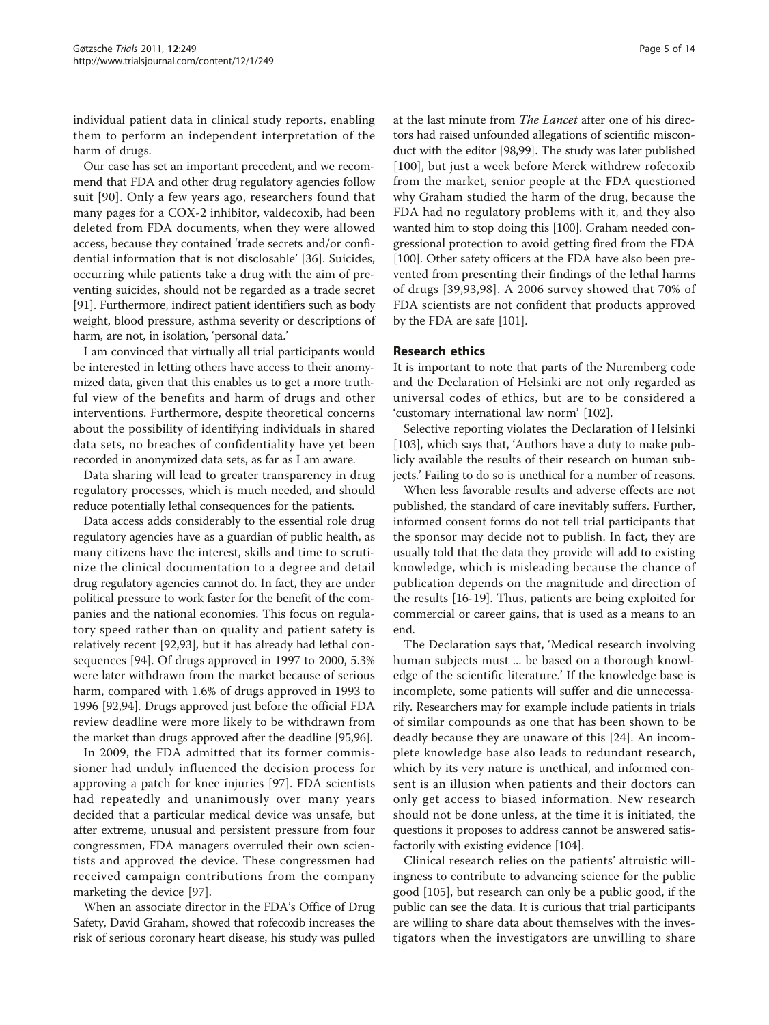individual patient data in clinical study reports, enabling them to perform an independent interpretation of the harm of drugs.

Our case has set an important precedent, and we recommend that FDA and other drug regulatory agencies follow suit [[90](#page-12-0)]. Only a few years ago, researchers found that many pages for a COX-2 inhibitor, valdecoxib, had been deleted from FDA documents, when they were allowed access, because they contained 'trade secrets and/or confidential information that is not disclosable' [[36\]](#page-11-0). Suicides, occurring while patients take a drug with the aim of preventing suicides, should not be regarded as a trade secret [[91](#page-12-0)]. Furthermore, indirect patient identifiers such as body weight, blood pressure, asthma severity or descriptions of harm, are not, in isolation, 'personal data.'

I am convinced that virtually all trial participants would be interested in letting others have access to their anomymized data, given that this enables us to get a more truthful view of the benefits and harm of drugs and other interventions. Furthermore, despite theoretical concerns about the possibility of identifying individuals in shared data sets, no breaches of confidentiality have yet been recorded in anonymized data sets, as far as I am aware.

Data sharing will lead to greater transparency in drug regulatory processes, which is much needed, and should reduce potentially lethal consequences for the patients.

Data access adds considerably to the essential role drug regulatory agencies have as a guardian of public health, as many citizens have the interest, skills and time to scrutinize the clinical documentation to a degree and detail drug regulatory agencies cannot do. In fact, they are under political pressure to work faster for the benefit of the companies and the national economies. This focus on regulatory speed rather than on quality and patient safety is relatively recent [\[92,93\]](#page-12-0), but it has already had lethal consequences [[94\]](#page-12-0). Of drugs approved in 1997 to 2000, 5.3% were later withdrawn from the market because of serious harm, compared with 1.6% of drugs approved in 1993 to 1996 [\[92,94\]](#page-12-0). Drugs approved just before the official FDA review deadline were more likely to be withdrawn from the market than drugs approved after the deadline [\[95,96\]](#page-12-0).

In 2009, the FDA admitted that its former commissioner had unduly influenced the decision process for approving a patch for knee injuries [\[97](#page-12-0)]. FDA scientists had repeatedly and unanimously over many years decided that a particular medical device was unsafe, but after extreme, unusual and persistent pressure from four congressmen, FDA managers overruled their own scientists and approved the device. These congressmen had received campaign contributions from the company marketing the device [[97\]](#page-12-0).

When an associate director in the FDA's Office of Drug Safety, David Graham, showed that rofecoxib increases the risk of serious coronary heart disease, his study was pulled at the last minute from The Lancet after one of his directors had raised unfounded allegations of scientific misconduct with the editor [\[98,99](#page-12-0)]. The study was later published [[100](#page-12-0)], but just a week before Merck withdrew rofecoxib from the market, senior people at the FDA questioned why Graham studied the harm of the drug, because the FDA had no regulatory problems with it, and they also wanted him to stop doing this [\[100\]](#page-12-0). Graham needed congressional protection to avoid getting fired from the FDA [[100](#page-12-0)]. Other safety officers at the FDA have also been prevented from presenting their findings of the lethal harms of drugs [\[39,](#page-11-0)[93](#page-12-0),[98\]](#page-12-0). A 2006 survey showed that 70% of FDA scientists are not confident that products approved by the FDA are safe [\[101](#page-12-0)].

#### Research ethics

It is important to note that parts of the Nuremberg code and the Declaration of Helsinki are not only regarded as universal codes of ethics, but are to be considered a 'customary international law norm' [[102\]](#page-12-0).

Selective reporting violates the Declaration of Helsinki [[103](#page-12-0)], which says that, 'Authors have a duty to make publicly available the results of their research on human subjects.' Failing to do so is unethical for a number of reasons.

When less favorable results and adverse effects are not published, the standard of care inevitably suffers. Further, informed consent forms do not tell trial participants that the sponsor may decide not to publish. In fact, they are usually told that the data they provide will add to existing knowledge, which is misleading because the chance of publication depends on the magnitude and direction of the results [\[16](#page-11-0)-[19\]](#page-11-0). Thus, patients are being exploited for commercial or career gains, that is used as a means to an end.

The Declaration says that, 'Medical research involving human subjects must ... be based on a thorough knowledge of the scientific literature.' If the knowledge base is incomplete, some patients will suffer and die unnecessarily. Researchers may for example include patients in trials of similar compounds as one that has been shown to be deadly because they are unaware of this [\[24](#page-11-0)]. An incomplete knowledge base also leads to redundant research, which by its very nature is unethical, and informed consent is an illusion when patients and their doctors can only get access to biased information. New research should not be done unless, at the time it is initiated, the questions it proposes to address cannot be answered satisfactorily with existing evidence [[104](#page-12-0)].

Clinical research relies on the patients' altruistic willingness to contribute to advancing science for the public good [[105\]](#page-12-0), but research can only be a public good, if the public can see the data. It is curious that trial participants are willing to share data about themselves with the investigators when the investigators are unwilling to share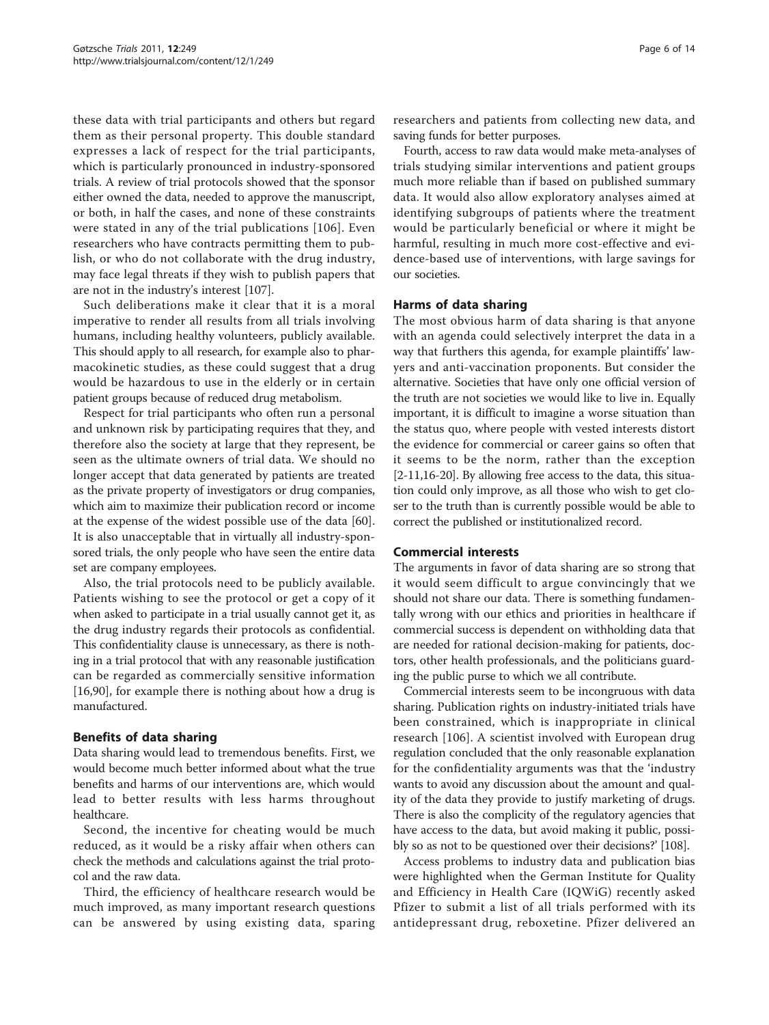these data with trial participants and others but regard them as their personal property. This double standard expresses a lack of respect for the trial participants, which is particularly pronounced in industry-sponsored trials. A review of trial protocols showed that the sponsor either owned the data, needed to approve the manuscript, or both, in half the cases, and none of these constraints were stated in any of the trial publications [[106](#page-12-0)]. Even researchers who have contracts permitting them to publish, or who do not collaborate with the drug industry, may face legal threats if they wish to publish papers that are not in the industry's interest [\[107](#page-12-0)].

Such deliberations make it clear that it is a moral imperative to render all results from all trials involving humans, including healthy volunteers, publicly available. This should apply to all research, for example also to pharmacokinetic studies, as these could suggest that a drug would be hazardous to use in the elderly or in certain patient groups because of reduced drug metabolism.

Respect for trial participants who often run a personal and unknown risk by participating requires that they, and therefore also the society at large that they represent, be seen as the ultimate owners of trial data. We should no longer accept that data generated by patients are treated as the private property of investigators or drug companies, which aim to maximize their publication record or income at the expense of the widest possible use of the data [\[60](#page-11-0)]. It is also unacceptable that in virtually all industry-sponsored trials, the only people who have seen the entire data set are company employees.

Also, the trial protocols need to be publicly available. Patients wishing to see the protocol or get a copy of it when asked to participate in a trial usually cannot get it, as the drug industry regards their protocols as confidential. This confidentiality clause is unnecessary, as there is nothing in a trial protocol that with any reasonable justification can be regarded as commercially sensitive information [[16,](#page-11-0)[90\]](#page-12-0), for example there is nothing about how a drug is manufactured.

#### Benefits of data sharing

Data sharing would lead to tremendous benefits. First, we would become much better informed about what the true benefits and harms of our interventions are, which would lead to better results with less harms throughout healthcare.

Second, the incentive for cheating would be much reduced, as it would be a risky affair when others can check the methods and calculations against the trial protocol and the raw data.

Third, the efficiency of healthcare research would be much improved, as many important research questions can be answered by using existing data, sparing researchers and patients from collecting new data, and saving funds for better purposes.

Fourth, access to raw data would make meta-analyses of trials studying similar interventions and patient groups much more reliable than if based on published summary data. It would also allow exploratory analyses aimed at identifying subgroups of patients where the treatment would be particularly beneficial or where it might be harmful, resulting in much more cost-effective and evidence-based use of interventions, with large savings for our societies.

#### Harms of data sharing

The most obvious harm of data sharing is that anyone with an agenda could selectively interpret the data in a way that furthers this agenda, for example plaintiffs' lawyers and anti-vaccination proponents. But consider the alternative. Societies that have only one official version of the truth are not societies we would like to live in. Equally important, it is difficult to imagine a worse situation than the status quo, where people with vested interests distort the evidence for commercial or career gains so often that it seems to be the norm, rather than the exception [[2-11,16](#page-11-0)-[20](#page-11-0)]. By allowing free access to the data, this situation could only improve, as all those who wish to get closer to the truth than is currently possible would be able to correct the published or institutionalized record.

#### Commercial interests

The arguments in favor of data sharing are so strong that it would seem difficult to argue convincingly that we should not share our data. There is something fundamentally wrong with our ethics and priorities in healthcare if commercial success is dependent on withholding data that are needed for rational decision-making for patients, doctors, other health professionals, and the politicians guarding the public purse to which we all contribute.

Commercial interests seem to be incongruous with data sharing. Publication rights on industry-initiated trials have been constrained, which is inappropriate in clinical research [[106](#page-12-0)]. A scientist involved with European drug regulation concluded that the only reasonable explanation for the confidentiality arguments was that the 'industry wants to avoid any discussion about the amount and quality of the data they provide to justify marketing of drugs. There is also the complicity of the regulatory agencies that have access to the data, but avoid making it public, possibly so as not to be questioned over their decisions?' [[108](#page-12-0)].

Access problems to industry data and publication bias were highlighted when the German Institute for Quality and Efficiency in Health Care (IQWiG) recently asked Pfizer to submit a list of all trials performed with its antidepressant drug, reboxetine. Pfizer delivered an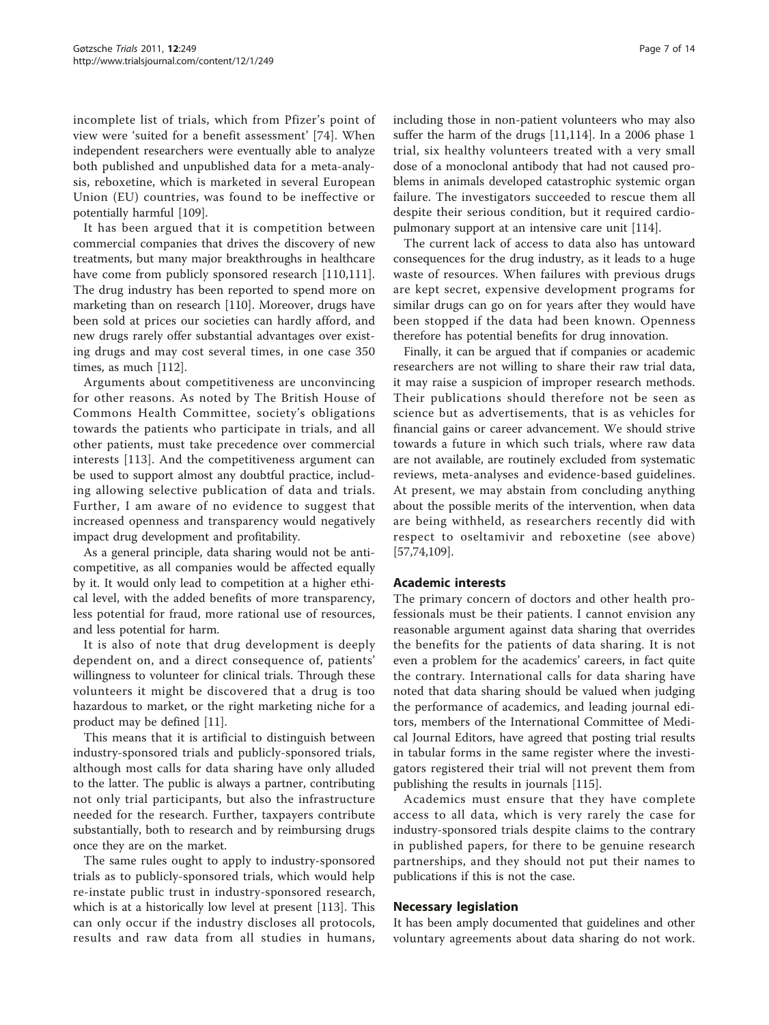incomplete list of trials, which from Pfizer's point of view were 'suited for a benefit assessment' [[74\]](#page-12-0). When independent researchers were eventually able to analyze both published and unpublished data for a meta-analysis, reboxetine, which is marketed in several European Union (EU) countries, was found to be ineffective or potentially harmful [\[109\]](#page-12-0).

It has been argued that it is competition between commercial companies that drives the discovery of new treatments, but many major breakthroughs in healthcare have come from publicly sponsored research [[110,111](#page-12-0)]. The drug industry has been reported to spend more on marketing than on research [\[110\]](#page-12-0). Moreover, drugs have been sold at prices our societies can hardly afford, and new drugs rarely offer substantial advantages over existing drugs and may cost several times, in one case 350 times, as much [[112\]](#page-12-0).

Arguments about competitiveness are unconvincing for other reasons. As noted by The British House of Commons Health Committee, society's obligations towards the patients who participate in trials, and all other patients, must take precedence over commercial interests [[113](#page-12-0)]. And the competitiveness argument can be used to support almost any doubtful practice, including allowing selective publication of data and trials. Further, I am aware of no evidence to suggest that increased openness and transparency would negatively impact drug development and profitability.

As a general principle, data sharing would not be anticompetitive, as all companies would be affected equally by it. It would only lead to competition at a higher ethical level, with the added benefits of more transparency, less potential for fraud, more rational use of resources, and less potential for harm.

It is also of note that drug development is deeply dependent on, and a direct consequence of, patients' willingness to volunteer for clinical trials. Through these volunteers it might be discovered that a drug is too hazardous to market, or the right marketing niche for a product may be defined [\[11\]](#page-11-0).

This means that it is artificial to distinguish between industry-sponsored trials and publicly-sponsored trials, although most calls for data sharing have only alluded to the latter. The public is always a partner, contributing not only trial participants, but also the infrastructure needed for the research. Further, taxpayers contribute substantially, both to research and by reimbursing drugs once they are on the market.

The same rules ought to apply to industry-sponsored trials as to publicly-sponsored trials, which would help re-instate public trust in industry-sponsored research, which is at a historically low level at present [[113\]](#page-12-0). This can only occur if the industry discloses all protocols, results and raw data from all studies in humans, including those in non-patient volunteers who may also suffer the harm of the drugs [[11,](#page-11-0)[114\]](#page-13-0). In a 2006 phase 1 trial, six healthy volunteers treated with a very small dose of a monoclonal antibody that had not caused problems in animals developed catastrophic systemic organ failure. The investigators succeeded to rescue them all despite their serious condition, but it required cardiopulmonary support at an intensive care unit [\[114](#page-13-0)].

The current lack of access to data also has untoward consequences for the drug industry, as it leads to a huge waste of resources. When failures with previous drugs are kept secret, expensive development programs for similar drugs can go on for years after they would have been stopped if the data had been known. Openness therefore has potential benefits for drug innovation.

Finally, it can be argued that if companies or academic researchers are not willing to share their raw trial data, it may raise a suspicion of improper research methods. Their publications should therefore not be seen as science but as advertisements, that is as vehicles for financial gains or career advancement. We should strive towards a future in which such trials, where raw data are not available, are routinely excluded from systematic reviews, meta-analyses and evidence-based guidelines. At present, we may abstain from concluding anything about the possible merits of the intervention, when data are being withheld, as researchers recently did with respect to oseltamivir and reboxetine (see above) [[57,](#page-11-0)[74,109](#page-12-0)].

#### Academic interests

The primary concern of doctors and other health professionals must be their patients. I cannot envision any reasonable argument against data sharing that overrides the benefits for the patients of data sharing. It is not even a problem for the academics' careers, in fact quite the contrary. International calls for data sharing have noted that data sharing should be valued when judging the performance of academics, and leading journal editors, members of the International Committee of Medical Journal Editors, have agreed that posting trial results in tabular forms in the same register where the investigators registered their trial will not prevent them from publishing the results in journals [\[115\]](#page-13-0).

Academics must ensure that they have complete access to all data, which is very rarely the case for industry-sponsored trials despite claims to the contrary in published papers, for there to be genuine research partnerships, and they should not put their names to publications if this is not the case.

#### Necessary legislation

It has been amply documented that guidelines and other voluntary agreements about data sharing do not work.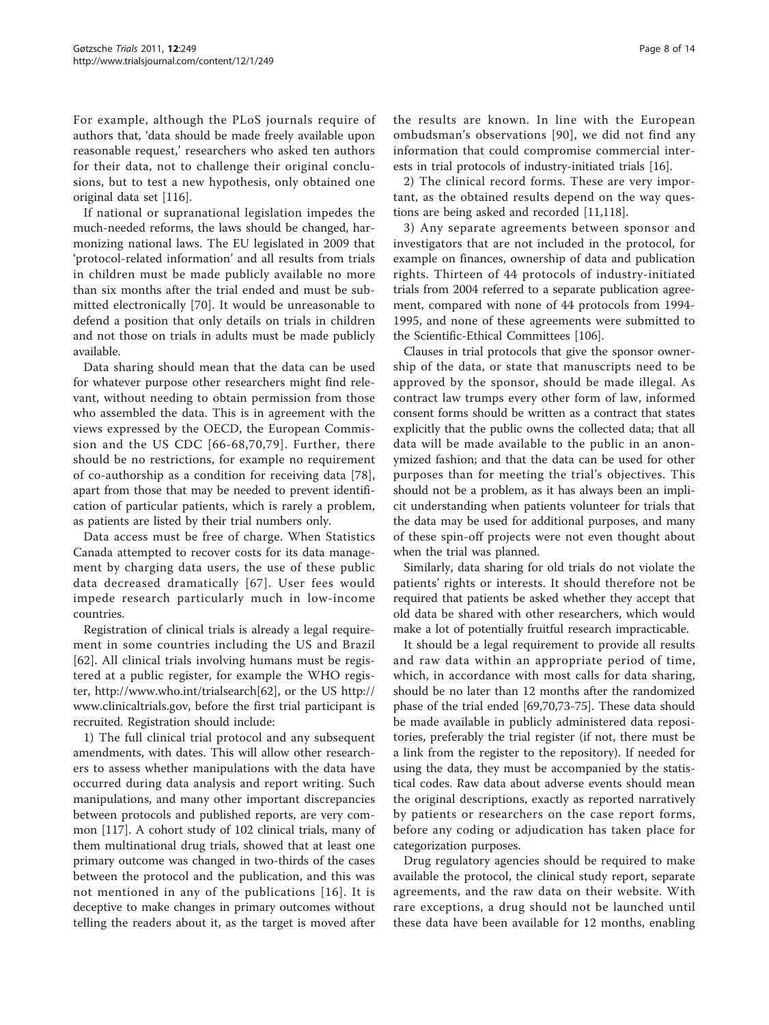For example, although the PLoS journals require of authors that, 'data should be made freely available upon reasonable request,' researchers who asked ten authors for their data, not to challenge their original conclusions, but to test a new hypothesis, only obtained one original data set [[116](#page-13-0)].

If national or supranational legislation impedes the much-needed reforms, the laws should be changed, harmonizing national laws. The EU legislated in 2009 that 'protocol-related information' and all results from trials in children must be made publicly available no more than six months after the trial ended and must be submitted electronically [[70\]](#page-12-0). It would be unreasonable to defend a position that only details on trials in children and not those on trials in adults must be made publicly available.

Data sharing should mean that the data can be used for whatever purpose other researchers might find relevant, without needing to obtain permission from those who assembled the data. This is in agreement with the views expressed by the OECD, the European Commission and the US CDC [[66](#page-12-0)-[68](#page-12-0),[70,79\]](#page-12-0). Further, there should be no restrictions, for example no requirement of co-authorship as a condition for receiving data [[78](#page-12-0)], apart from those that may be needed to prevent identification of particular patients, which is rarely a problem, as patients are listed by their trial numbers only.

Data access must be free of charge. When Statistics Canada attempted to recover costs for its data management by charging data users, the use of these public data decreased dramatically [[67](#page-12-0)]. User fees would impede research particularly much in low-income countries.

Registration of clinical trials is already a legal requirement in some countries including the US and Brazil [[62\]](#page-12-0). All clinical trials involving humans must be registered at a public register, for example the WHO register, [http://www.who.int/trialsearch\[](http://www.who.int/trialsearch)[62\]](#page-12-0), or the US [http://](http://www.clinicaltrials.gov) [www.clinicaltrials.gov,](http://www.clinicaltrials.gov) before the first trial participant is recruited. Registration should include:

1) The full clinical trial protocol and any subsequent amendments, with dates. This will allow other researchers to assess whether manipulations with the data have occurred during data analysis and report writing. Such manipulations, and many other important discrepancies between protocols and published reports, are very common [[117](#page-13-0)]. A cohort study of 102 clinical trials, many of them multinational drug trials, showed that at least one primary outcome was changed in two-thirds of the cases between the protocol and the publication, and this was not mentioned in any of the publications [[16\]](#page-11-0). It is deceptive to make changes in primary outcomes without telling the readers about it, as the target is moved after

the results are known. In line with the European ombudsman's observations [[90](#page-12-0)], we did not find any information that could compromise commercial interests in trial protocols of industry-initiated trials [[16\]](#page-11-0).

2) The clinical record forms. These are very important, as the obtained results depend on the way questions are being asked and recorded [\[11](#page-11-0)[,118\]](#page-13-0).

3) Any separate agreements between sponsor and investigators that are not included in the protocol, for example on finances, ownership of data and publication rights. Thirteen of 44 protocols of industry-initiated trials from 2004 referred to a separate publication agreement, compared with none of 44 protocols from 1994- 1995, and none of these agreements were submitted to the Scientific-Ethical Committees [\[106\]](#page-12-0).

Clauses in trial protocols that give the sponsor ownership of the data, or state that manuscripts need to be approved by the sponsor, should be made illegal. As contract law trumps every other form of law, informed consent forms should be written as a contract that states explicitly that the public owns the collected data; that all data will be made available to the public in an anonymized fashion; and that the data can be used for other purposes than for meeting the trial's objectives. This should not be a problem, as it has always been an implicit understanding when patients volunteer for trials that the data may be used for additional purposes, and many of these spin-off projects were not even thought about when the trial was planned.

Similarly, data sharing for old trials do not violate the patients' rights or interests. It should therefore not be required that patients be asked whether they accept that old data be shared with other researchers, which would make a lot of potentially fruitful research impracticable.

It should be a legal requirement to provide all results and raw data within an appropriate period of time, which, in accordance with most calls for data sharing, should be no later than 12 months after the randomized phase of the trial ended [\[69,70,73-75](#page-12-0)]. These data should be made available in publicly administered data repositories, preferably the trial register (if not, there must be a link from the register to the repository). If needed for using the data, they must be accompanied by the statistical codes. Raw data about adverse events should mean the original descriptions, exactly as reported narratively by patients or researchers on the case report forms, before any coding or adjudication has taken place for categorization purposes.

Drug regulatory agencies should be required to make available the protocol, the clinical study report, separate agreements, and the raw data on their website. With rare exceptions, a drug should not be launched until these data have been available for 12 months, enabling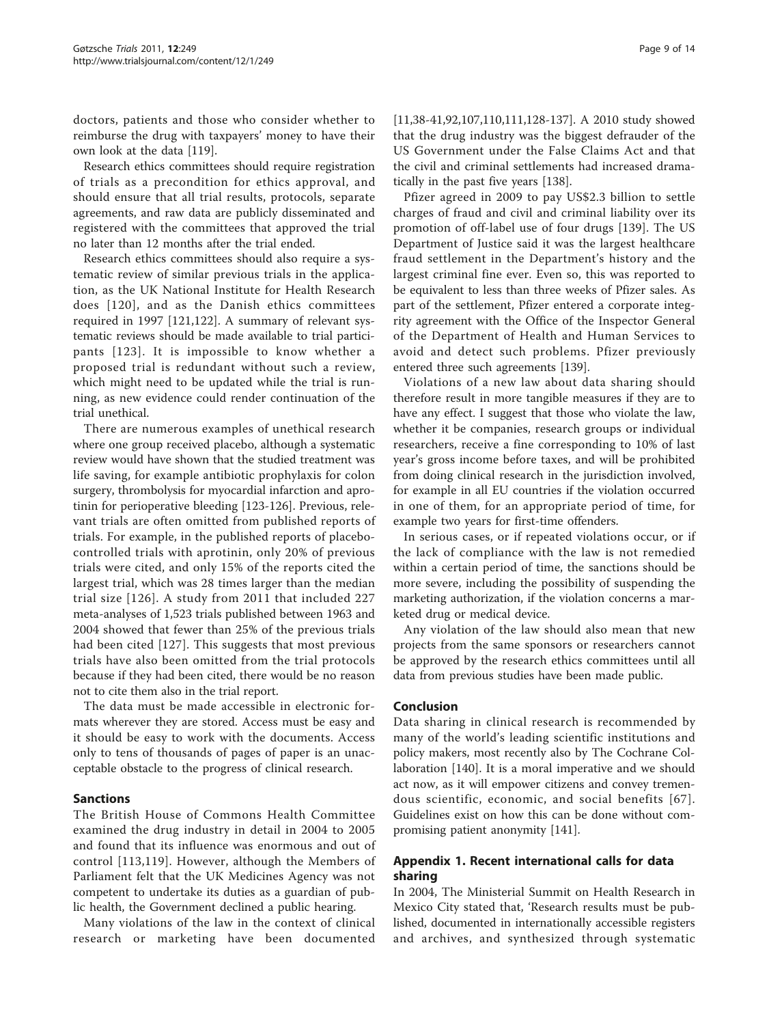doctors, patients and those who consider whether to reimburse the drug with taxpayers' money to have their own look at the data [\[119](#page-13-0)].

Research ethics committees should require registration of trials as a precondition for ethics approval, and should ensure that all trial results, protocols, separate agreements, and raw data are publicly disseminated and registered with the committees that approved the trial no later than 12 months after the trial ended.

Research ethics committees should also require a systematic review of similar previous trials in the application, as the UK National Institute for Health Research does [[120](#page-13-0)], and as the Danish ethics committees required in 1997 [\[121](#page-13-0),[122](#page-13-0)]. A summary of relevant systematic reviews should be made available to trial participants [[123\]](#page-13-0). It is impossible to know whether a proposed trial is redundant without such a review, which might need to be updated while the trial is running, as new evidence could render continuation of the trial unethical.

There are numerous examples of unethical research where one group received placebo, although a systematic review would have shown that the studied treatment was life saving, for example antibiotic prophylaxis for colon surgery, thrombolysis for myocardial infarction and aprotinin for perioperative bleeding [\[123](#page-13-0)-[126\]](#page-13-0). Previous, relevant trials are often omitted from published reports of trials. For example, in the published reports of placebocontrolled trials with aprotinin, only 20% of previous trials were cited, and only 15% of the reports cited the largest trial, which was 28 times larger than the median trial size [\[126](#page-13-0)]. A study from 2011 that included 227 meta-analyses of 1,523 trials published between 1963 and 2004 showed that fewer than 25% of the previous trials had been cited [[127](#page-13-0)]. This suggests that most previous trials have also been omitted from the trial protocols because if they had been cited, there would be no reason not to cite them also in the trial report.

The data must be made accessible in electronic formats wherever they are stored. Access must be easy and it should be easy to work with the documents. Access only to tens of thousands of pages of paper is an unacceptable obstacle to the progress of clinical research.

#### Sanctions

The British House of Commons Health Committee examined the drug industry in detail in 2004 to 2005 and found that its influence was enormous and out of control [[113,](#page-12-0)[119\]](#page-13-0). However, although the Members of Parliament felt that the UK Medicines Agency was not competent to undertake its duties as a guardian of public health, the Government declined a public hearing.

Many violations of the law in the context of clinical research or marketing have been documented [[11,38-41](#page-11-0)[,92,107,110,111,](#page-12-0)[128-137\]](#page-13-0). A 2010 study showed that the drug industry was the biggest defrauder of the US Government under the False Claims Act and that the civil and criminal settlements had increased dramatically in the past five years [\[138\]](#page-13-0).

Pfizer agreed in 2009 to pay US\$2.3 billion to settle charges of fraud and civil and criminal liability over its promotion of off-label use of four drugs [\[139](#page-13-0)]. The US Department of Justice said it was the largest healthcare fraud settlement in the Department's history and the largest criminal fine ever. Even so, this was reported to be equivalent to less than three weeks of Pfizer sales. As part of the settlement, Pfizer entered a corporate integrity agreement with the Office of the Inspector General of the Department of Health and Human Services to avoid and detect such problems. Pfizer previously entered three such agreements [\[139\]](#page-13-0).

Violations of a new law about data sharing should therefore result in more tangible measures if they are to have any effect. I suggest that those who violate the law, whether it be companies, research groups or individual researchers, receive a fine corresponding to 10% of last year's gross income before taxes, and will be prohibited from doing clinical research in the jurisdiction involved, for example in all EU countries if the violation occurred in one of them, for an appropriate period of time, for example two years for first-time offenders.

In serious cases, or if repeated violations occur, or if the lack of compliance with the law is not remedied within a certain period of time, the sanctions should be more severe, including the possibility of suspending the marketing authorization, if the violation concerns a marketed drug or medical device.

Any violation of the law should also mean that new projects from the same sponsors or researchers cannot be approved by the research ethics committees until all data from previous studies have been made public.

## Conclusion

Data sharing in clinical research is recommended by many of the world's leading scientific institutions and policy makers, most recently also by The Cochrane Collaboration [\[140\]](#page-13-0). It is a moral imperative and we should act now, as it will empower citizens and convey tremendous scientific, economic, and social benefits [[67\]](#page-12-0). Guidelines exist on how this can be done without compromising patient anonymity [[141](#page-13-0)].

## Appendix 1. Recent international calls for data sharing

In 2004, The Ministerial Summit on Health Research in Mexico City stated that, 'Research results must be published, documented in internationally accessible registers and archives, and synthesized through systematic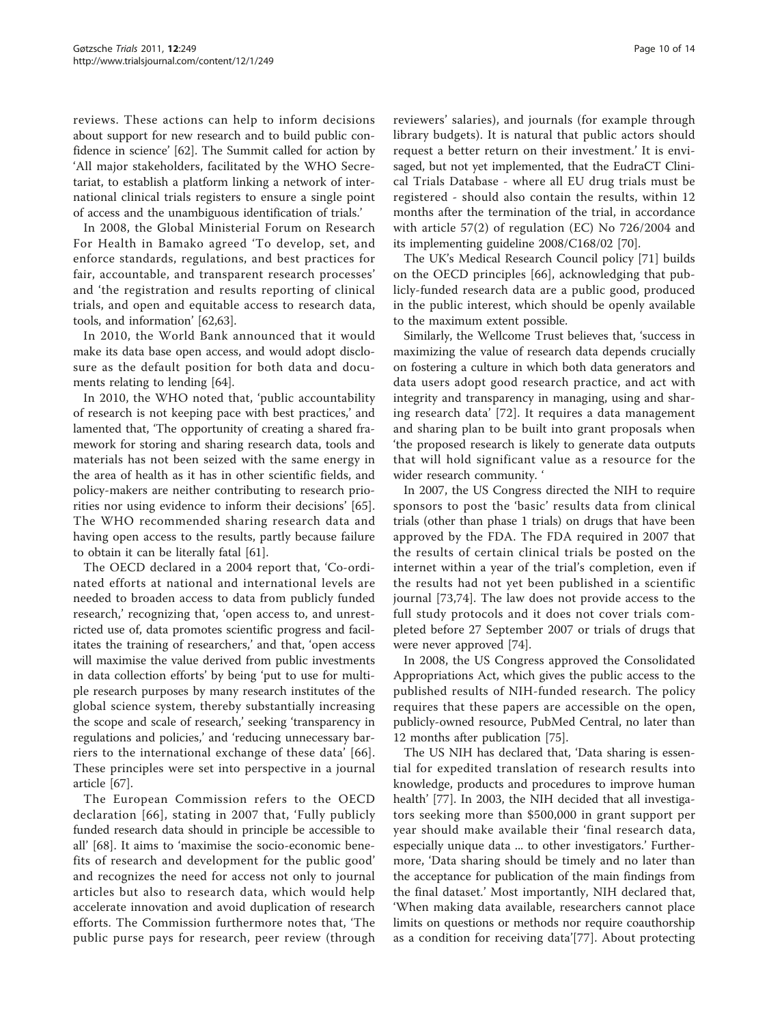reviews. These actions can help to inform decisions about support for new research and to build public confidence in science' [[62\]](#page-12-0). The Summit called for action by 'All major stakeholders, facilitated by the WHO Secretariat, to establish a platform linking a network of international clinical trials registers to ensure a single point of access and the unambiguous identification of trials.'

In 2008, the Global Ministerial Forum on Research For Health in Bamako agreed 'To develop, set, and enforce standards, regulations, and best practices for fair, accountable, and transparent research processes' and 'the registration and results reporting of clinical trials, and open and equitable access to research data, tools, and information' [\[62,63](#page-12-0)].

In 2010, the World Bank announced that it would make its data base open access, and would adopt disclosure as the default position for both data and documents relating to lending [[64](#page-12-0)].

In 2010, the WHO noted that, 'public accountability of research is not keeping pace with best practices,' and lamented that, 'The opportunity of creating a shared framework for storing and sharing research data, tools and materials has not been seized with the same energy in the area of health as it has in other scientific fields, and policy-makers are neither contributing to research priorities nor using evidence to inform their decisions' [\[65](#page-12-0)]. The WHO recommended sharing research data and having open access to the results, partly because failure to obtain it can be literally fatal [\[61\]](#page-12-0).

The OECD declared in a 2004 report that, 'Co-ordinated efforts at national and international levels are needed to broaden access to data from publicly funded research,' recognizing that, 'open access to, and unrestricted use of, data promotes scientific progress and facilitates the training of researchers,' and that, 'open access will maximise the value derived from public investments in data collection efforts' by being 'put to use for multiple research purposes by many research institutes of the global science system, thereby substantially increasing the scope and scale of research,' seeking 'transparency in regulations and policies,' and 'reducing unnecessary barriers to the international exchange of these data' [[66](#page-12-0)]. These principles were set into perspective in a journal article [\[67\]](#page-12-0).

The European Commission refers to the OECD declaration [[66\]](#page-12-0), stating in 2007 that, 'Fully publicly funded research data should in principle be accessible to all' [[68\]](#page-12-0). It aims to 'maximise the socio-economic benefits of research and development for the public good' and recognizes the need for access not only to journal articles but also to research data, which would help accelerate innovation and avoid duplication of research efforts. The Commission furthermore notes that, 'The public purse pays for research, peer review (through reviewers' salaries), and journals (for example through library budgets). It is natural that public actors should request a better return on their investment.' It is envisaged, but not yet implemented, that the EudraCT Clinical Trials Database - where all EU drug trials must be registered - should also contain the results, within 12 months after the termination of the trial, in accordance with article 57(2) of regulation (EC) No 726/2004 and its implementing guideline 2008/C168/02 [\[70](#page-12-0)].

The UK's Medical Research Council policy [[71](#page-12-0)] builds on the OECD principles [\[66](#page-12-0)], acknowledging that publicly-funded research data are a public good, produced in the public interest, which should be openly available to the maximum extent possible.

Similarly, the Wellcome Trust believes that, 'success in maximizing the value of research data depends crucially on fostering a culture in which both data generators and data users adopt good research practice, and act with integrity and transparency in managing, using and sharing research data' [\[72](#page-12-0)]. It requires a data management and sharing plan to be built into grant proposals when 'the proposed research is likely to generate data outputs that will hold significant value as a resource for the wider research community. '

In 2007, the US Congress directed the NIH to require sponsors to post the 'basic' results data from clinical trials (other than phase 1 trials) on drugs that have been approved by the FDA. The FDA required in 2007 that the results of certain clinical trials be posted on the internet within a year of the trial's completion, even if the results had not yet been published in a scientific journal [\[73,74](#page-12-0)]. The law does not provide access to the full study protocols and it does not cover trials completed before 27 September 2007 or trials of drugs that were never approved [[74](#page-12-0)].

In 2008, the US Congress approved the Consolidated Appropriations Act, which gives the public access to the published results of NIH-funded research. The policy requires that these papers are accessible on the open, publicly-owned resource, PubMed Central, no later than 12 months after publication [\[75](#page-12-0)].

The US NIH has declared that, 'Data sharing is essential for expedited translation of research results into knowledge, products and procedures to improve human health' [\[77](#page-12-0)]. In 2003, the NIH decided that all investigators seeking more than \$500,000 in grant support per year should make available their 'final research data, especially unique data ... to other investigators.' Furthermore, 'Data sharing should be timely and no later than the acceptance for publication of the main findings from the final dataset.' Most importantly, NIH declared that, 'When making data available, researchers cannot place limits on questions or methods nor require coauthorship as a condition for receiving data'[\[77](#page-12-0)]. About protecting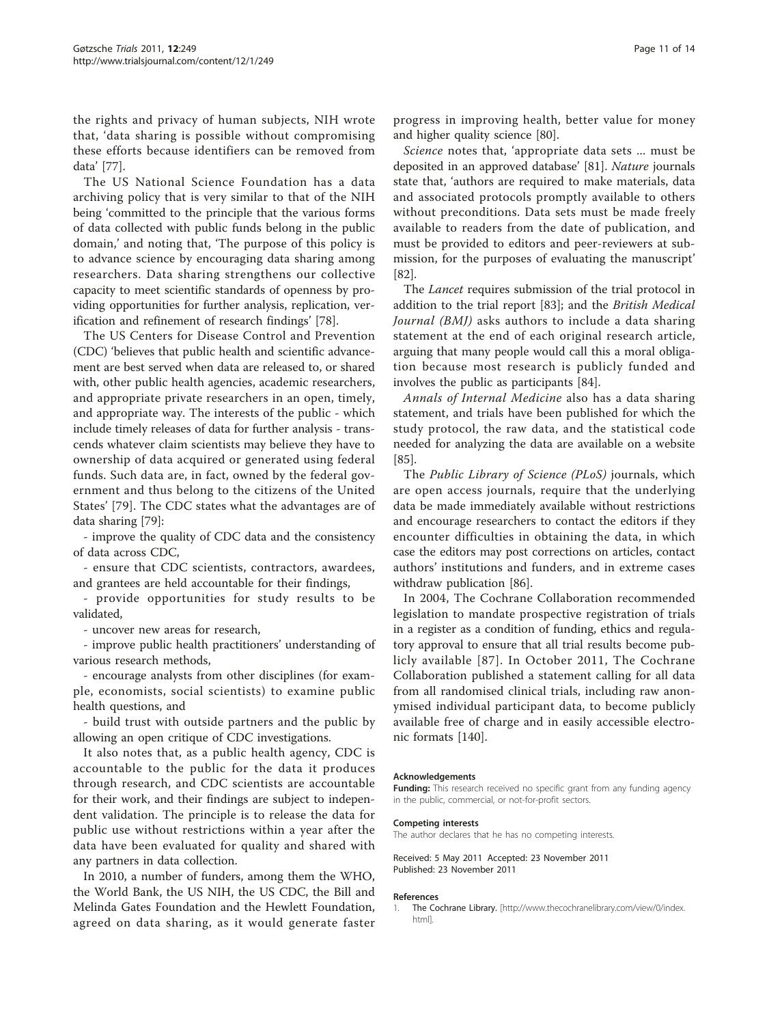<span id="page-10-0"></span>the rights and privacy of human subjects, NIH wrote that, 'data sharing is possible without compromising these efforts because identifiers can be removed from data' [\[77\]](#page-12-0).

The US National Science Foundation has a data archiving policy that is very similar to that of the NIH being 'committed to the principle that the various forms of data collected with public funds belong in the public domain,' and noting that, 'The purpose of this policy is to advance science by encouraging data sharing among researchers. Data sharing strengthens our collective capacity to meet scientific standards of openness by providing opportunities for further analysis, replication, verification and refinement of research findings' [\[78](#page-12-0)].

The US Centers for Disease Control and Prevention (CDC) 'believes that public health and scientific advancement are best served when data are released to, or shared with, other public health agencies, academic researchers, and appropriate private researchers in an open, timely, and appropriate way. The interests of the public - which include timely releases of data for further analysis - transcends whatever claim scientists may believe they have to ownership of data acquired or generated using federal funds. Such data are, in fact, owned by the federal government and thus belong to the citizens of the United States' [[79\]](#page-12-0). The CDC states what the advantages are of data sharing [\[79\]](#page-12-0):

- improve the quality of CDC data and the consistency of data across CDC,

- ensure that CDC scientists, contractors, awardees, and grantees are held accountable for their findings,

- provide opportunities for study results to be validated,

- uncover new areas for research,

- improve public health practitioners' understanding of various research methods,

- encourage analysts from other disciplines (for example, economists, social scientists) to examine public health questions, and

- build trust with outside partners and the public by allowing an open critique of CDC investigations.

It also notes that, as a public health agency, CDC is accountable to the public for the data it produces through research, and CDC scientists are accountable for their work, and their findings are subject to independent validation. The principle is to release the data for public use without restrictions within a year after the data have been evaluated for quality and shared with any partners in data collection.

In 2010, a number of funders, among them the WHO, the World Bank, the US NIH, the US CDC, the Bill and Melinda Gates Foundation and the Hewlett Foundation, agreed on data sharing, as it would generate faster

progress in improving health, better value for money and higher quality science [\[80](#page-12-0)].

Science notes that, 'appropriate data sets ... must be deposited in an approved database' [[81](#page-12-0)]. Nature journals state that, 'authors are required to make materials, data and associated protocols promptly available to others without preconditions. Data sets must be made freely available to readers from the date of publication, and must be provided to editors and peer-reviewers at submission, for the purposes of evaluating the manuscript' [[82\]](#page-12-0).

The Lancet requires submission of the trial protocol in addition to the trial report [[83](#page-12-0)]; and the British Medical Journal (BMJ) asks authors to include a data sharing statement at the end of each original research article, arguing that many people would call this a moral obligation because most research is publicly funded and involves the public as participants [\[84](#page-12-0)].

Annals of Internal Medicine also has a data sharing statement, and trials have been published for which the study protocol, the raw data, and the statistical code needed for analyzing the data are available on a website [[85\]](#page-12-0).

The Public Library of Science (PLoS) journals, which are open access journals, require that the underlying data be made immediately available without restrictions and encourage researchers to contact the editors if they encounter difficulties in obtaining the data, in which case the editors may post corrections on articles, contact authors' institutions and funders, and in extreme cases withdraw publication [[86\]](#page-12-0).

In 2004, The Cochrane Collaboration recommended legislation to mandate prospective registration of trials in a register as a condition of funding, ethics and regulatory approval to ensure that all trial results become publicly available [[87\]](#page-12-0). In October 2011, The Cochrane Collaboration published a statement calling for all data from all randomised clinical trials, including raw anonymised individual participant data, to become publicly available free of charge and in easily accessible electronic formats [[140](#page-13-0)].

#### Acknowledgements

Funding: This research received no specific grant from any funding agency in the public, commercial, or not-for-profit sectors.

#### Competing interests

The author declares that he has no competing interests.

Received: 5 May 2011 Accepted: 23 November 2011 Published: 23 November 2011

#### References

1. The Cochrane Library. [\[http://www.thecochranelibrary.com/view/0/index.](http://www.thecochranelibrary.com/view/0/index.html) [html\]](http://www.thecochranelibrary.com/view/0/index.html).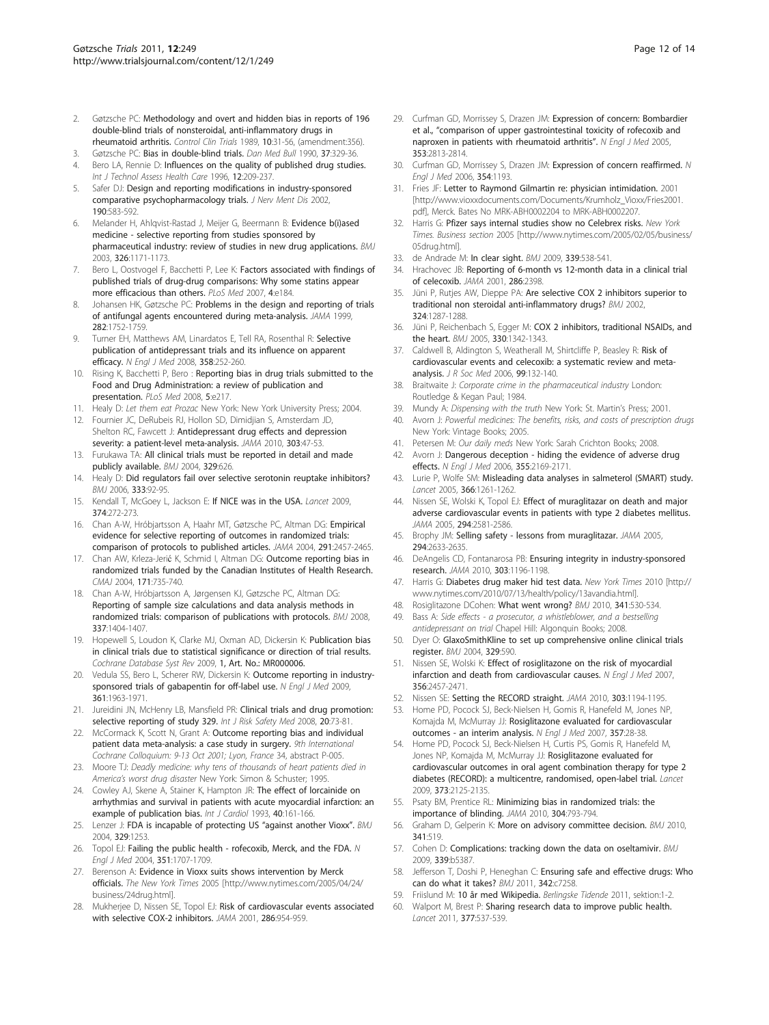- <span id="page-11-0"></span>2. Gøtzsche PC: [Methodology and overt and hidden bias in reports of 196](http://www.ncbi.nlm.nih.gov/pubmed/2702836?dopt=Abstract) [double-blind trials of nonsteroidal, anti-inflammatory drugs in](http://www.ncbi.nlm.nih.gov/pubmed/2702836?dopt=Abstract) [rheumatoid arthritis.](http://www.ncbi.nlm.nih.gov/pubmed/2702836?dopt=Abstract) Control Clin Trials 1989, 10:31-56, (amendment:356).
- 3. Gøtzsche PC: [Bias in double-blind trials.](http://www.ncbi.nlm.nih.gov/pubmed/2245657?dopt=Abstract) Dan Med Bull 1990, 37:329-36.
- 4. Bero LA, Rennie D: [Influences on the quality of published drug studies.](http://www.ncbi.nlm.nih.gov/pubmed/8707496?dopt=Abstract) Int J Technol Assess Health Care 1996, 12:209-237.
- Safer DJ: [Design and reporting modifications in industry-sponsored](http://www.ncbi.nlm.nih.gov/pubmed/12357091?dopt=Abstract) [comparative psychopharmacology trials.](http://www.ncbi.nlm.nih.gov/pubmed/12357091?dopt=Abstract) J Nerv Ment Dis 2002, 190:583-592.
- 6. Melander H, Ahlqvist-Rastad J, Meijer G, Beermann B: [Evidence b\(i\)ased](http://www.ncbi.nlm.nih.gov/pubmed/12775615?dopt=Abstract) [medicine - selective reporting from studies sponsored by](http://www.ncbi.nlm.nih.gov/pubmed/12775615?dopt=Abstract) [pharmaceutical industry: review of studies in new drug applications.](http://www.ncbi.nlm.nih.gov/pubmed/12775615?dopt=Abstract) BMJ 2003, 326:1171-1173.
- Bero L, Oostvogel F, Bacchetti P, Lee K: [Factors associated with findings of](http://www.ncbi.nlm.nih.gov/pubmed/17550302?dopt=Abstract) [published trials of drug-drug comparisons: Why some statins appear](http://www.ncbi.nlm.nih.gov/pubmed/17550302?dopt=Abstract) [more efficacious than others.](http://www.ncbi.nlm.nih.gov/pubmed/17550302?dopt=Abstract) PLoS Med 2007, 4:e184.
- 8. Johansen HK, Gøtzsche PC: [Problems in the design and reporting of trials](http://www.ncbi.nlm.nih.gov/pubmed/10568648?dopt=Abstract) [of antifungal agents encountered during meta-analysis.](http://www.ncbi.nlm.nih.gov/pubmed/10568648?dopt=Abstract) JAMA 1999, 282:1752-1759.
- 9. Turner EH, Matthews AM, Linardatos E, Tell RA, Rosenthal R: [Selective](http://www.ncbi.nlm.nih.gov/pubmed/18199864?dopt=Abstract) [publication of antidepressant trials and its influence on apparent](http://www.ncbi.nlm.nih.gov/pubmed/18199864?dopt=Abstract) [efficacy.](http://www.ncbi.nlm.nih.gov/pubmed/18199864?dopt=Abstract) N Engl J Med 2008, 358:252-260.
- 10. Rising K, Bacchetti P, Bero : [Reporting bias in drug trials submitted to the](http://www.ncbi.nlm.nih.gov/pubmed/19067477?dopt=Abstract) [Food and Drug Administration: a review of publication and](http://www.ncbi.nlm.nih.gov/pubmed/19067477?dopt=Abstract) [presentation.](http://www.ncbi.nlm.nih.gov/pubmed/19067477?dopt=Abstract) PLoS Med 2008, 5:e217.
- 11. Healy D: Let them eat Prozac New York: New York University Press; 2004.
- 12. Fournier JC, DeRubeis RJ, Hollon SD, Dimidjian S, Amsterdam JD, Shelton RC, Fawcett J: [Antidepressant drug effects and depression](http://www.ncbi.nlm.nih.gov/pubmed/20051569?dopt=Abstract) [severity: a patient-level meta-analysis.](http://www.ncbi.nlm.nih.gov/pubmed/20051569?dopt=Abstract) JAMA 2010, 303:47-53.
- 13. Furukawa TA: [All clinical trials must be reported in detail and made](http://www.ncbi.nlm.nih.gov/pubmed/15361465?dopt=Abstract) [publicly available.](http://www.ncbi.nlm.nih.gov/pubmed/15361465?dopt=Abstract) BMJ 2004, 329:626.
- 14. Healy D: [Did regulators fail over selective serotonin reuptake inhibitors?](http://www.ncbi.nlm.nih.gov/pubmed/16825234?dopt=Abstract) BMJ 2006, 333:92-95.
- 15. Kendall T, McGoey L, Jackson E: [If NICE was in the USA.](http://www.ncbi.nlm.nih.gov/pubmed/19394077?dopt=Abstract) Lancet 2009, 374:272-273.
- 16. Chan A-W, Hróbjartsson A, Haahr MT, Gøtzsche PC, Altman DG: [Empirical](http://www.ncbi.nlm.nih.gov/pubmed/15161896?dopt=Abstract) [evidence for selective reporting of outcomes in randomized trials:](http://www.ncbi.nlm.nih.gov/pubmed/15161896?dopt=Abstract) [comparison of protocols to published articles.](http://www.ncbi.nlm.nih.gov/pubmed/15161896?dopt=Abstract) JAMA 2004, 291:2457-2465.
- 17. Chan AW, Krleza-Jerić K, Schmid I, Altman DG: [Outcome reporting bias in](http://www.ncbi.nlm.nih.gov/pubmed/15451835?dopt=Abstract) [randomized trials funded by the Canadian Institutes of Health Research.](http://www.ncbi.nlm.nih.gov/pubmed/15451835?dopt=Abstract) CMAJ 2004, 171:735-740.
- 18. Chan A-W, Hróbjartsson A, Jørgensen KJ, Gøtzsche PC, Altman DG: Reporting of sample size calculations and data analysis methods in randomized trials: comparison of publications with protocols. BMJ 2008, 337:1404-1407.
- 19. Hopewell S, Loudon K, Clarke MJ, Oxman AD, Dickersin K: Publication bias in clinical trials due to statistical significance or direction of trial results. Cochrane Database Syst Rev 2009, 1, Art. No.: MR000006.
- 20. Vedula SS, Bero L, Scherer RW, Dickersin K: [Outcome reporting in industry](http://www.ncbi.nlm.nih.gov/pubmed/19907043?dopt=Abstract)[sponsored trials of gabapentin for off-label use.](http://www.ncbi.nlm.nih.gov/pubmed/19907043?dopt=Abstract) N Engl J Med 2009, 361:1963-1971.
- 21. Jureidini JN, McHenry LB, Mansfield PR: Clinical trials and drug promotion: selective reporting of study 329. Int J Risk Safety Med 2008, 20:73-81.
- 22. McCormack K, Scott N, Grant A: Outcome reporting bias and individual patient data meta-analysis: a case study in surgery. 9th International Cochrane Colloquium: 9-13 Oct 2001; Lyon, France 34, abstract P-005.
- 23. Moore TJ: Deadly medicine: why tens of thousands of heart patients died in America's worst drug disaster New York: Simon & Schuster; 1995.
- 24. Cowley AJ, Skene A, Stainer K, Hampton JR: [The effect of lorcainide on](http://www.ncbi.nlm.nih.gov/pubmed/8349379?dopt=Abstract) [arrhythmias and survival in patients with acute myocardial infarction: an](http://www.ncbi.nlm.nih.gov/pubmed/8349379?dopt=Abstract) [example of publication bias.](http://www.ncbi.nlm.nih.gov/pubmed/8349379?dopt=Abstract) Int J Cardiol 1993, 40:161-166.
- 25. Lenzer J: [FDA is incapable of protecting US](http://www.ncbi.nlm.nih.gov/pubmed/15564236?dopt=Abstract) "against another Vioxx". BMJ 2004, 329:1253.
- 26. Topol EJ: [Failing the public health rofecoxib, Merck, and the FDA.](http://www.ncbi.nlm.nih.gov/pubmed/15470193?dopt=Abstract) N Engl J Med 2004, 351:1707-1709.
- 27. Berenson A: Evidence in Vioxx suits shows intervention by Merck officials. The New York Times 2005 [\[http://www.nytimes.com/2005/04/24/](http://www.nytimes.com/2005/04/24/business/24drug.html) [business/24drug.html\]](http://www.nytimes.com/2005/04/24/business/24drug.html).
- 28. Mukherjee D, Nissen SE, Topol EJ: [Risk of cardiovascular events associated](http://www.ncbi.nlm.nih.gov/pubmed/11509060?dopt=Abstract) [with selective COX-2 inhibitors.](http://www.ncbi.nlm.nih.gov/pubmed/11509060?dopt=Abstract) JAMA 2001, 286:954-959.
- 29. Curfman GD, Morrissey S, Drazen JM: [Expression of concern: Bombardier](http://www.ncbi.nlm.nih.gov/pubmed/16339408?dopt=Abstract) et al., "[comparison of upper gastrointestinal toxicity of rofecoxib and](http://www.ncbi.nlm.nih.gov/pubmed/16339408?dopt=Abstract) [naproxen in patients with rheumatoid arthritis](http://www.ncbi.nlm.nih.gov/pubmed/16339408?dopt=Abstract)". N Engl J Med 2005, 353:2813-2814.
- 30. Curfman GD, Morrissey S, Drazen JM: Expression of concern reaffirmed, N Engl J Med 2006, 354:1193.
- 31. Fries JF: Letter to Raymond Gilmartin re: physician intimidation. 2001 [[http://www.vioxxdocuments.com/Documents/Krumholz\\_Vioxx/Fries2001.](http://www.vioxxdocuments.com/Documents/Krumholz_Vioxx/Fries2001.pdf) [pdf](http://www.vioxxdocuments.com/Documents/Krumholz_Vioxx/Fries2001.pdf)], Merck. Bates No MRK-ABH0002204 to MRK-ABH0002207.
- 32. Harris G: Pfizer says internal studies show no Celebrex risks. New York Times. Business section 2005 [[http://www.nytimes.com/2005/02/05/business/](http://www.nytimes.com/2005/02/05/business/05drug.html) [05drug.html](http://www.nytimes.com/2005/02/05/business/05drug.html)].
- 33. de Andrade M: In clear sight. BMJ 2009, 339:538-541.
- 34. Hrachovec JB: [Reporting of 6-month vs 12-month data in a clinical trial](http://www.ncbi.nlm.nih.gov/pubmed/11712925?dopt=Abstract) [of celecoxib.](http://www.ncbi.nlm.nih.gov/pubmed/11712925?dopt=Abstract) JAMA 2001, 286:2398.
- 35. Jüni P, Rutjes AW, Dieppe PA: [Are selective COX 2 inhibitors superior to](http://www.ncbi.nlm.nih.gov/pubmed/12039807?dopt=Abstract) [traditional non steroidal anti-inflammatory drugs?](http://www.ncbi.nlm.nih.gov/pubmed/12039807?dopt=Abstract) BMJ 2002, 324:1287-1288.
- 36. Jüni P, Reichenbach S, Egger M: [COX 2 inhibitors, traditional NSAIDs, and](http://www.ncbi.nlm.nih.gov/pubmed/15947376?dopt=Abstract) [the heart.](http://www.ncbi.nlm.nih.gov/pubmed/15947376?dopt=Abstract) BMJ 2005, 330:1342-1343.
- 37. Caldwell B, Aldington S, Weatherall M, Shirtcliffe P, Beasley R: [Risk of](http://www.ncbi.nlm.nih.gov/pubmed/16508052?dopt=Abstract) [cardiovascular events and celecoxib: a systematic review and meta](http://www.ncbi.nlm.nih.gov/pubmed/16508052?dopt=Abstract)[analysis.](http://www.ncbi.nlm.nih.gov/pubmed/16508052?dopt=Abstract) J R Soc Med 2006, 99:132-140.
- 38. Braitwaite J: Corporate crime in the pharmaceutical industry London: Routledge & Kegan Paul; 1984.
- 39. Mundy A: Dispensing with the truth New York: St. Martin's Press; 2001.
- 40. Avorn J: Powerful medicines: The benefits, risks, and costs of prescription drugs New York: Vintage Books; 2005.
- 41. Petersen M: Our daily meds New York: Sarah Crichton Books; 2008.
- 42. Avorn J: [Dangerous deception hiding the evidence of adverse drug](http://www.ncbi.nlm.nih.gov/pubmed/17124012?dopt=Abstract) [effects.](http://www.ncbi.nlm.nih.gov/pubmed/17124012?dopt=Abstract) N Engl J Med 2006, 355:2169-2171.
- 43. Lurie P, Wolfe SM: [Misleading data analyses in salmeterol \(SMART\) study.](http://www.ncbi.nlm.nih.gov/pubmed/16214589?dopt=Abstract) Lancet 2005, 366:1261-1262.
- 44. Nissen SE, Wolski K, Topol EJ: [Effect of muraglitazar on death and major](http://www.ncbi.nlm.nih.gov/pubmed/16239637?dopt=Abstract) [adverse cardiovascular events in patients with type 2 diabetes mellitus.](http://www.ncbi.nlm.nih.gov/pubmed/16239637?dopt=Abstract) JAMA 2005, 294:2581-2586.
- 45. Brophy JM: [Selling safety lessons from muraglitazar.](http://www.ncbi.nlm.nih.gov/pubmed/16239638?dopt=Abstract) JAMA 2005, 294:2633-2635.
- 46. DeAngelis CD, Fontanarosa PB: [Ensuring integrity in industry-sponsored](http://www.ncbi.nlm.nih.gov/pubmed/20332409?dopt=Abstract) [research.](http://www.ncbi.nlm.nih.gov/pubmed/20332409?dopt=Abstract) JAMA 2010, 303:1196-1198.
- 47. Harris G: Diabetes drug maker hid test data. New York Times 2010 [[http://](http://www.nytimes.com/2010/07/13/health/policy/13avandia.html) [www.nytimes.com/2010/07/13/health/policy/13avandia.html](http://www.nytimes.com/2010/07/13/health/policy/13avandia.html)].
- 48. Rosiglitazone DCohen: What went wrong? BMJ 2010, 341:530-534.
- 49. Bass A: Side effects a prosecutor, a whistleblower, and a bestselling antidepressant on trial Chapel Hill: Algonquin Books; 2008.
- 50. Dyer O: GlaxoSmithKline to set up comprehensive online clinical trials register. BMJ 2004, 329:590.
- 51. Nissen SE, Wolski K: [Effect of rosiglitazone on the risk of myocardial](http://www.ncbi.nlm.nih.gov/pubmed/17517853?dopt=Abstract) [infarction and death from cardiovascular causes.](http://www.ncbi.nlm.nih.gov/pubmed/17517853?dopt=Abstract) N Engl J Med 2007, 356:2457-2471.
- 52. Nissen SE: [Setting the RECORD straight.](http://www.ncbi.nlm.nih.gov/pubmed/20332408?dopt=Abstract) JAMA 2010, 303:1194-1195.
- 53. Home PD, Pocock SJ, Beck-Nielsen H, Gomis R, Hanefeld M, Jones NP, Komajda M, McMurray JJ: [Rosiglitazone evaluated for cardiovascular](http://www.ncbi.nlm.nih.gov/pubmed/17551159?dopt=Abstract) [outcomes - an interim analysis.](http://www.ncbi.nlm.nih.gov/pubmed/17551159?dopt=Abstract) N Engl J Med 2007, 357:28-38.
- 54. Home PD, Pocock SJ, Beck-Nielsen H, Curtis PS, Gomis R, Hanefeld M, Jones NP, Komajda M, McMurray JJ: [Rosiglitazone evaluated for](http://www.ncbi.nlm.nih.gov/pubmed/19501900?dopt=Abstract) [cardiovascular outcomes in oral agent combination therapy for type 2](http://www.ncbi.nlm.nih.gov/pubmed/19501900?dopt=Abstract) [diabetes \(RECORD\): a multicentre, randomised, open-label trial.](http://www.ncbi.nlm.nih.gov/pubmed/19501900?dopt=Abstract) Lancet 2009, 373:2125-2135.
- 55. Psaty BM, Prentice RL: [Minimizing bias in randomized trials: the](http://www.ncbi.nlm.nih.gov/pubmed/20716744?dopt=Abstract) [importance of blinding.](http://www.ncbi.nlm.nih.gov/pubmed/20716744?dopt=Abstract) JAMA 2010, 304:793-794.
- 56. Graham D, Gelperin K: More on advisory committee decision. BMJ 2010, 341:519.
- 57. Cohen D: [Complications: tracking down the data on oseltamivir.](http://www.ncbi.nlm.nih.gov/pubmed/19995818?dopt=Abstract) BMJ 2009, 339:b5387
- 58. Jefferson T, Doshi P, Heneghan C: [Ensuring safe and effective drugs: Who](http://www.ncbi.nlm.nih.gov/pubmed/21224325?dopt=Abstract) [can do what it takes?](http://www.ncbi.nlm.nih.gov/pubmed/21224325?dopt=Abstract) BMJ 2011, 342:c7258.
- 59. Friislund M: 10 år med Wikipedia. Berlingske Tidende 2011, sektion:1-2.
- 60. Walport M, Brest P: [Sharing research data to improve public health.](http://www.ncbi.nlm.nih.gov/pubmed/21216456?dopt=Abstract) Lancet 2011, 377:537-539.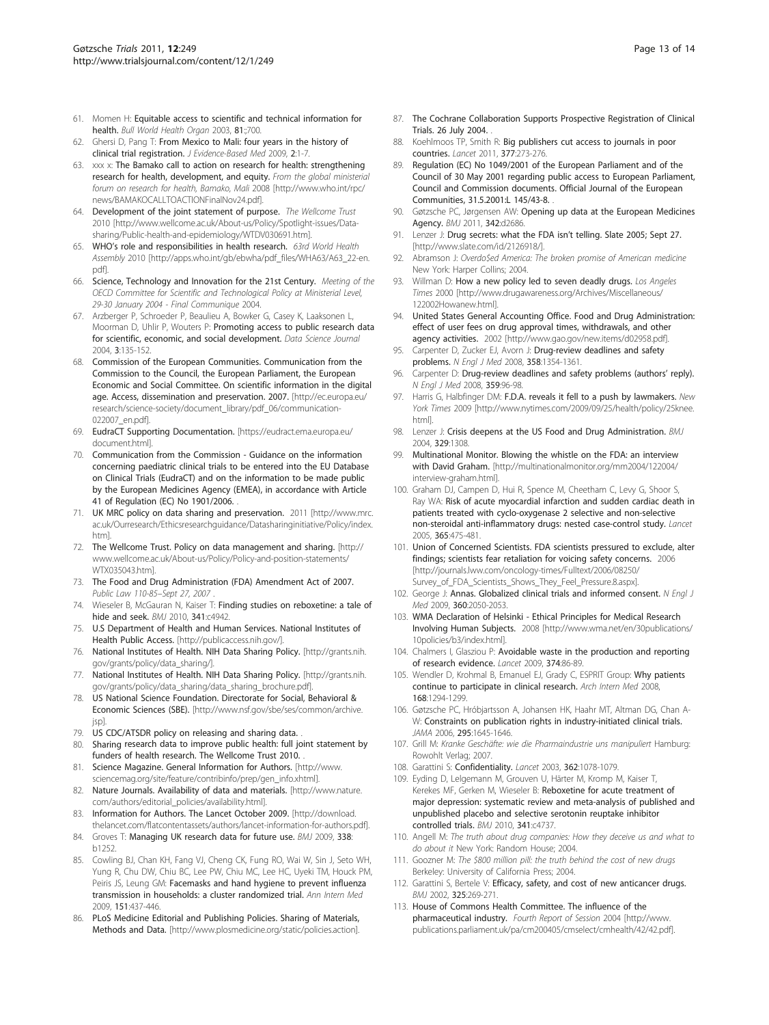- <span id="page-12-0"></span>61. Momen H: [Equitable access to scientific and technical information for](http://www.ncbi.nlm.nih.gov/pubmed/14997253?dopt=Abstract) [health.](http://www.ncbi.nlm.nih.gov/pubmed/14997253?dopt=Abstract) Bull World Health Organ 2003, 81:;700.
- 62. Ghersi D, Pang T: From Mexico to Mali: four years in the history of clinical trial registration. J Evidence-Based Med 2009, 2:1-7.
- 63. xxx x: The Bamako call to action on research for health: strengthening research for health, development, and equity. From the global ministerial forum on research for health, Bamako, Mali 2008 [\[http://www.who.int/rpc/](http://www.who.int/rpc/news/BAMAKOCALLTOACTIONFinalNov24.pdf) [news/BAMAKOCALLTOACTIONFinalNov24.pdf](http://www.who.int/rpc/news/BAMAKOCALLTOACTIONFinalNov24.pdf)].
- 64. Development of the joint statement of purpose. The Wellcome Trust 2010 [\[http://www.wellcome.ac.uk/About-us/Policy/Spotlight-issues/Data](http://www.wellcome.ac.uk/About-us/Policy/Spotlight-issues/Data-sharing/Public-health-and-epidemiology/WTDV030691.htm)[sharing/Public-health-and-epidemiology/WTDV030691.htm\]](http://www.wellcome.ac.uk/About-us/Policy/Spotlight-issues/Data-sharing/Public-health-and-epidemiology/WTDV030691.htm).
- 65. WHO's role and responsibilities in health research. 63rd World Health Assembly 2010 [[http://apps.who.int/gb/ebwha/pdf\\_files/WHA63/A63\\_22-en.](http://apps.who.int/gb/ebwha/pdf_files/WHA63/A63_22-en.pdf) [pdf](http://apps.who.int/gb/ebwha/pdf_files/WHA63/A63_22-en.pdf)].
- 66. Science, Technology and Innovation for the 21st Century. Meeting of the OECD Committee for Scientific and Technological Policy at Ministerial Level, 29-30 January 2004 - Final Communique 2004.
- 67. Arzberger P, Schroeder P, Beaulieu A, Bowker G, Casey K, Laaksonen L, Moorman D, Uhlir P, Wouters P: Promoting access to public research data for scientific, economic, and social development. Data Science Journal 2004, 3:135-152.
- 68. Commission of the European Communities. Communication from the Commission to the Council, the European Parliament, the European Economic and Social Committee. On scientific information in the digital age. Access, dissemination and preservation. 2007. [[http://ec.europa.eu/](http://ec.europa.eu/research/science-society/document_library/pdf_06/communication-022007_en.pdf) [research/science-society/document\\_library/pdf\\_06/communication-](http://ec.europa.eu/research/science-society/document_library/pdf_06/communication-022007_en.pdf)[022007\\_en.pdf](http://ec.europa.eu/research/science-society/document_library/pdf_06/communication-022007_en.pdf)].
- 69. EudraCT Supporting Documentation. [[https://eudract.ema.europa.eu/](https://eudract.ema.europa.eu/document.html) [document.html](https://eudract.ema.europa.eu/document.html)].
- 70. Communication from the Commission Guidance on the information concerning paediatric clinical trials to be entered into the EU Database on Clinical Trials (EudraCT) and on the information to be made public by the European Medicines Agency (EMEA), in accordance with Article 41 of Regulation (EC) No 1901/2006. .
- 71. UK MRC policy on data sharing and preservation. 2011 [[http://www.mrc.](http://www.mrc.ac.uk/Ourresearch/Ethicsresearchguidance/Datasharinginitiative/Policy/index.htm) [ac.uk/Ourresearch/Ethicsresearchguidance/Datasharinginitiative/Policy/index.](http://www.mrc.ac.uk/Ourresearch/Ethicsresearchguidance/Datasharinginitiative/Policy/index.htm) [htm](http://www.mrc.ac.uk/Ourresearch/Ethicsresearchguidance/Datasharinginitiative/Policy/index.htm)].
- 72. The Wellcome Trust. Policy on data management and sharing. [[http://](http://www.wellcome.ac.uk/About-us/Policy/Policy-and-position-statements/WTX035043.htm) [www.wellcome.ac.uk/About-us/Policy/Policy-and-position-statements/](http://www.wellcome.ac.uk/About-us/Policy/Policy-and-position-statements/WTX035043.htm) [WTX035043.htm\]](http://www.wellcome.ac.uk/About-us/Policy/Policy-and-position-statements/WTX035043.htm).
- 73. The Food and Drug Administration (FDA) Amendment Act of 2007. Public Law 110-85-Sept 27, 2007
- 74. Wieseler B, McGauran N, Kaiser T: [Finding studies on reboxetine: a tale of](http://www.ncbi.nlm.nih.gov/pubmed/20940211?dopt=Abstract) [hide and seek.](http://www.ncbi.nlm.nih.gov/pubmed/20940211?dopt=Abstract) BMJ 2010, 341:c4942.
- 75. U.S Department of Health and Human Services. National Institutes of Health Public Access. [\[http://publicaccess.nih.gov/](http://publicaccess.nih.gov/)].
- 76. National Institutes of Health. NIH Data Sharing Policy. [[http://grants.nih.](http://grants.nih.gov/grants/policy/data_sharing/) [gov/grants/policy/data\\_sharing/](http://grants.nih.gov/grants/policy/data_sharing/)].
- 77. National Institutes of Health. NIH Data Sharing Policy. [[http://grants.nih.](http://grants.nih.gov/grants/policy/data_sharing/data_sharing_brochure.pdf) [gov/grants/policy/data\\_sharing/data\\_sharing\\_brochure.pdf\]](http://grants.nih.gov/grants/policy/data_sharing/data_sharing_brochure.pdf).
- 78. US National Science Foundation. Directorate for Social, Behavioral & Economic Sciences (SBE). [[http://www.nsf.gov/sbe/ses/common/archive.](http://www.nsf.gov/sbe/ses/common/archive.jsp) [jsp\]](http://www.nsf.gov/sbe/ses/common/archive.jsp).
- 79. US CDC/ATSDR policy on releasing and sharing data. .
- 80. Sharing research data to improve public health: full joint statement by funders of health research. The Wellcome Trust 2010.
- 81. Science Magazine. General Information for Authors. [[http://www.](http://www.sciencemag.org/site/feature/contribinfo/prep/gen_info.xhtml) [sciencemag.org/site/feature/contribinfo/prep/gen\\_info.xhtml\]](http://www.sciencemag.org/site/feature/contribinfo/prep/gen_info.xhtml).
- 82. Nature Journals. Availability of data and materials. [[http://www.nature.](http://www.nature.com/authors/editorial_policies/availability.html) [com/authors/editorial\\_policies/availability.html\]](http://www.nature.com/authors/editorial_policies/availability.html).
- 83. Information for Authors. The Lancet October 2009. [http://download [thelancet.com/flatcontentassets/authors/lancet-information-for-authors.pdf\]](http://download.thelancet.com/flatcontentassets/authors/lancet-information-for-authors.pdf).
- 84. Groves T: [Managing UK research data for future use.](http://www.ncbi.nlm.nih.gov/pubmed/19321550?dopt=Abstract) BMJ 2009, 338: b1252.
- 85. Cowling BJ, Chan KH, Fang VJ, Cheng CK, Fung RO, Wai W, Sin J, Seto WH, Yung R, Chu DW, Chiu BC, Lee PW, Chiu MC, Lee HC, Uyeki TM, Houck PM, Peiris JS, Leung GM: [Facemasks and hand hygiene to prevent influenza](http://www.ncbi.nlm.nih.gov/pubmed/19652172?dopt=Abstract) [transmission in households: a cluster randomized trial.](http://www.ncbi.nlm.nih.gov/pubmed/19652172?dopt=Abstract) Ann Intern Med 2009, 151:437-446.
- 86. PLoS Medicine Editorial and Publishing Policies. Sharing of Materials, Methods and Data. [\[http://www.plosmedicine.org/static/policies.action\]](http://www.plosmedicine.org/static/policies.action).
- 87. The Cochrane Collaboration Supports Prospective Registration of Clinical Trials. 26 July 2004. .
- 88. Koehlmoos TP, Smith R: [Big publishers cut access to journals in poor](http://www.ncbi.nlm.nih.gov/pubmed/21322840?dopt=Abstract) [countries.](http://www.ncbi.nlm.nih.gov/pubmed/21322840?dopt=Abstract) Lancet 2011, 377:273-276.
- 89. Regulation (EC) No 1049/2001 of the European Parliament and of the Council of 30 May 2001 regarding public access to European Parliament, Council and Commission documents. Official Journal of the European Communities, 31.5.2001:L 145/43-8. .
- Gøtzsche PC, Jørgensen AW: [Opening up data at the European Medicines](http://www.ncbi.nlm.nih.gov/pubmed/21558364?dopt=Abstract) [Agency.](http://www.ncbi.nlm.nih.gov/pubmed/21558364?dopt=Abstract) BMJ 2011, 342:d2686.
- 91. Lenzer J: Drug secrets: what the FDA isn't telling. Slate 2005; Sept 27. [[http://www.slate.com/id/2126918/\]](http://www.slate.com/id/2126918/).
- 92. Abramson J: Overdo\$ed America: The broken promise of American medicine New York: Harper Collins; 2004.
- 93. Willman D: How a new policy led to seven deadly drugs. Los Angeles Times 2000 [\[http://www.drugawareness.org/Archives/Miscellaneous/](http://www.drugawareness.org/Archives/Miscellaneous/122002Howanew.html) [122002Howanew.html](http://www.drugawareness.org/Archives/Miscellaneous/122002Howanew.html)].
- 94. United States General Accounting Office. Food and Drug Administration: effect of user fees on drug approval times, withdrawals, and other agency activities. 2002 [\[http://www.gao.gov/new.items/d02958.pdf\]](http://www.gao.gov/new.items/d02958.pdf).
- 95. Carpenter D, Zucker EJ, Avorn J: [Drug-review deadlines and safety](http://www.ncbi.nlm.nih.gov/pubmed/18367738?dopt=Abstract) [problems.](http://www.ncbi.nlm.nih.gov/pubmed/18367738?dopt=Abstract) N Engl J Med 2008, 358:1354-1361.
- 96. Carpenter D: Drug-review deadlines and safety problems (authors' reply). N Engl J Med 2008, 359:96-98.
- 97. Harris G, Halbfinger DM: F.D.A. reveals it fell to a push by lawmakers. New York Times 2009 [[http://www.nytimes.com/2009/09/25/health/policy/25knee.](http://www.nytimes.com/2009/09/25/health/policy/25knee.html) [html\]](http://www.nytimes.com/2009/09/25/health/policy/25knee.html).
- 98. Lenzer J: [Crisis deepens at the US Food and Drug Administration.](http://www.ncbi.nlm.nih.gov/pubmed/15576741?dopt=Abstract) BMJ 2004, 329:1308.
- 99. Multinational Monitor. Blowing the whistle on the FDA: an interview with David Graham. [[http://multinationalmonitor.org/mm2004/122004/](http://multinationalmonitor.org/mm2004/122004/interview-graham.html) [interview-graham.html\]](http://multinationalmonitor.org/mm2004/122004/interview-graham.html).
- 100. Graham DJ, Campen D, Hui R, Spence M, Cheetham C, Levy G, Shoor S, Ray WA: [Risk of acute myocardial infarction and sudden cardiac death in](http://www.ncbi.nlm.nih.gov/pubmed/15705456?dopt=Abstract) [patients treated with cyclo-oxygenase 2 selective and non-selective](http://www.ncbi.nlm.nih.gov/pubmed/15705456?dopt=Abstract) [non-steroidal anti-inflammatory drugs: nested case-control study.](http://www.ncbi.nlm.nih.gov/pubmed/15705456?dopt=Abstract) Lancet 2005, 365:475-481.
- 101. Union of Concerned Scientists. FDA scientists pressured to exclude, alter findings; scientists fear retaliation for voicing safety concerns. 2006 [[http://journals.lww.com/oncology-times/Fulltext/2006/08250/](http://journals.lww.com/oncology-times/Fulltext/2006/08250/Survey_of_FDA_Scientists_Shows_They_Feel_Pressure.8.aspx) [Survey\\_of\\_FDA\\_Scientists\\_Shows\\_They\\_Feel\\_Pressure.8.aspx\]](http://journals.lww.com/oncology-times/Fulltext/2006/08250/Survey_of_FDA_Scientists_Shows_They_Feel_Pressure.8.aspx).
- 102. George J: [Annas. Globalized clinical trials and informed consent.](http://www.ncbi.nlm.nih.gov/pubmed/19439740?dopt=Abstract) N Engl J Med 2009, 360:2050-2053.
- 103. WMA Declaration of Helsinki Ethical Principles for Medical Research Involving Human Subjects. 2008 [\[http://www.wma.net/en/30publications/](http://www.wma.net/en/30publications/10policies/b3/index.html) [10policies/b3/index.html\]](http://www.wma.net/en/30publications/10policies/b3/index.html).
- 104. Chalmers I, Glasziou P: [Avoidable waste in the production and reporting](http://www.ncbi.nlm.nih.gov/pubmed/19525005?dopt=Abstract) [of research evidence.](http://www.ncbi.nlm.nih.gov/pubmed/19525005?dopt=Abstract) Lancet 2009, 374:86-89.
- 105. Wendler D, Krohmal B, Emanuel EJ, Grady C, ESPRIT Group: [Why patients](http://www.ncbi.nlm.nih.gov/pubmed/18574086?dopt=Abstract) [continue to participate in clinical research.](http://www.ncbi.nlm.nih.gov/pubmed/18574086?dopt=Abstract) Arch Intern Med 2008, 168:1294-1299.
- 106. Gøtzsche PC, Hróbjartsson A, Johansen HK, Haahr MT, Altman DG, Chan A-W: [Constraints on publication rights in industry-initiated clinical trials.](http://www.ncbi.nlm.nih.gov/pubmed/16609085?dopt=Abstract) JAMA 2006, 295:1645-1646.
- 107. Grill M: Kranke Geschäfte: wie die Pharmaindustrie uns manipuliert Hamburg: Rowohlt Verlag; 2007.
- 108. Garattini S: [Confidentiality.](http://www.ncbi.nlm.nih.gov/pubmed/14522545?dopt=Abstract) Lancet 2003, 362:1078-1079.
- 109. Eyding D, Lelgemann M, Grouven U, Härter M, Kromp M, Kaiser T, Kerekes MF, Gerken M, Wieseler B: [Reboxetine for acute treatment of](http://www.ncbi.nlm.nih.gov/pubmed/20940209?dopt=Abstract) [major depression: systematic review and meta-analysis of published and](http://www.ncbi.nlm.nih.gov/pubmed/20940209?dopt=Abstract) [unpublished placebo and selective serotonin reuptake inhibitor](http://www.ncbi.nlm.nih.gov/pubmed/20940209?dopt=Abstract) [controlled trials.](http://www.ncbi.nlm.nih.gov/pubmed/20940209?dopt=Abstract) BMJ 2010, 341:c4737.
- 110. Angell M: The truth about drug companies: How they deceive us and what to do about it New York: Random House; 2004.
- 111. Goozner M: The \$800 million pill: the truth behind the cost of new drugs Berkeley: University of California Press; 2004.
- 112. Garattini S, Bertele V: [Efficacy, safety, and cost of new anticancer drugs.](http://www.ncbi.nlm.nih.gov/pubmed/12153927?dopt=Abstract) BMJ 2002, 325:269-271.
- 113. House of Commons Health Committee. The influence of the pharmaceutical industry. Fourth Report of Session 2004 [\[http://www.](http://www.publications.parliament.uk/pa/cm200405/cmselect/cmhealth/42/42.pdf) [publications.parliament.uk/pa/cm200405/cmselect/cmhealth/42/42.pdf](http://www.publications.parliament.uk/pa/cm200405/cmselect/cmhealth/42/42.pdf)].